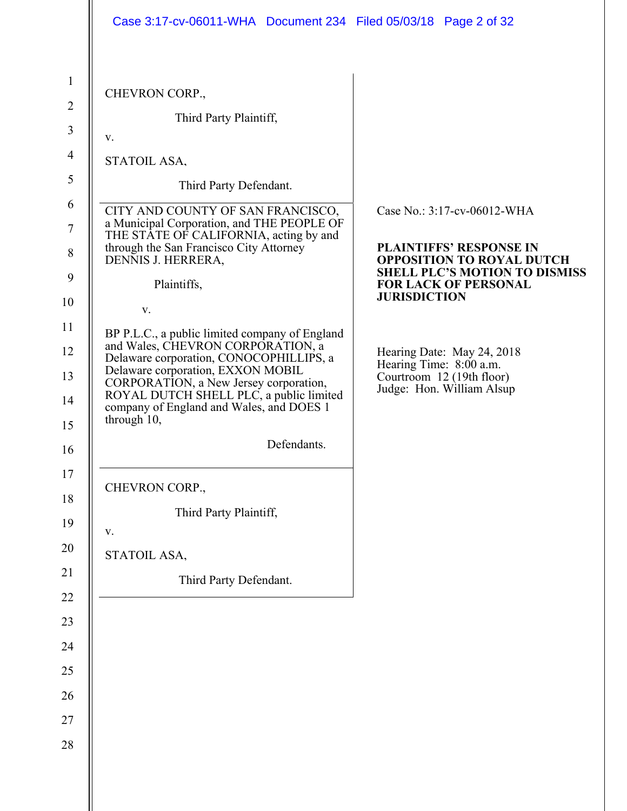| Case 3:17-cv-06011-WHA Document 234 Filed 05/03/18 Page 2 of 32                                                                                                                                                                                                                                                     |                                                                                                                 |
|---------------------------------------------------------------------------------------------------------------------------------------------------------------------------------------------------------------------------------------------------------------------------------------------------------------------|-----------------------------------------------------------------------------------------------------------------|
|                                                                                                                                                                                                                                                                                                                     |                                                                                                                 |
| CHEVRON CORP.,                                                                                                                                                                                                                                                                                                      |                                                                                                                 |
| Third Party Plaintiff,                                                                                                                                                                                                                                                                                              |                                                                                                                 |
| V.                                                                                                                                                                                                                                                                                                                  |                                                                                                                 |
| STATOIL ASA,                                                                                                                                                                                                                                                                                                        |                                                                                                                 |
| Third Party Defendant.                                                                                                                                                                                                                                                                                              |                                                                                                                 |
| CITY AND COUNTY OF SAN FRANCISCO,<br>a Municipal Corporation, and THE PEOPLE OF                                                                                                                                                                                                                                     | Case No.: 3:17-cv-06012-WHA                                                                                     |
| THE STATE OF CALIFORNIA, acting by and<br>through the San Francisco City Attorney<br>DENNIS J. HERRERA,                                                                                                                                                                                                             | <b>PLAINTIFFS' RESPONSE IN</b><br><b>OPPOSITION TO ROYAL DUTCH</b><br><b>SHELL PLC'S MOTION TO DISMISS</b>      |
| Plaintiffs,                                                                                                                                                                                                                                                                                                         | <b>FOR LACK OF PERSONAL</b><br><b>JURISDICTION</b>                                                              |
| V.                                                                                                                                                                                                                                                                                                                  |                                                                                                                 |
| BP P.L.C., a public limited company of England<br>and Wales, CHEVRON CORPORATION, a<br>Delaware corporation, CONOCOPHILLIPS, a<br>Delaware corporation, EXXON MOBIL<br>CORPORATION, a New Jersey corporation,<br>ROYAL DUTCH SHELL PLC, a public limited<br>company of England and Wales, and DOES 1<br>through 10, | Hearing Date: May 24, 2018<br>Hearing Time: 8:00 a.m.<br>Courtroom 12 (19th floor)<br>Judge: Hon. William Alsup |
| Defendants.                                                                                                                                                                                                                                                                                                         |                                                                                                                 |
| CHEVRON CORP.,                                                                                                                                                                                                                                                                                                      |                                                                                                                 |
| Third Party Plaintiff,                                                                                                                                                                                                                                                                                              |                                                                                                                 |
| V.                                                                                                                                                                                                                                                                                                                  |                                                                                                                 |
| STATOIL ASA,                                                                                                                                                                                                                                                                                                        |                                                                                                                 |
| Third Party Defendant.                                                                                                                                                                                                                                                                                              |                                                                                                                 |
|                                                                                                                                                                                                                                                                                                                     |                                                                                                                 |
|                                                                                                                                                                                                                                                                                                                     |                                                                                                                 |
|                                                                                                                                                                                                                                                                                                                     |                                                                                                                 |
|                                                                                                                                                                                                                                                                                                                     |                                                                                                                 |
|                                                                                                                                                                                                                                                                                                                     |                                                                                                                 |
|                                                                                                                                                                                                                                                                                                                     |                                                                                                                 |
|                                                                                                                                                                                                                                                                                                                     |                                                                                                                 |
|                                                                                                                                                                                                                                                                                                                     |                                                                                                                 |
|                                                                                                                                                                                                                                                                                                                     |                                                                                                                 |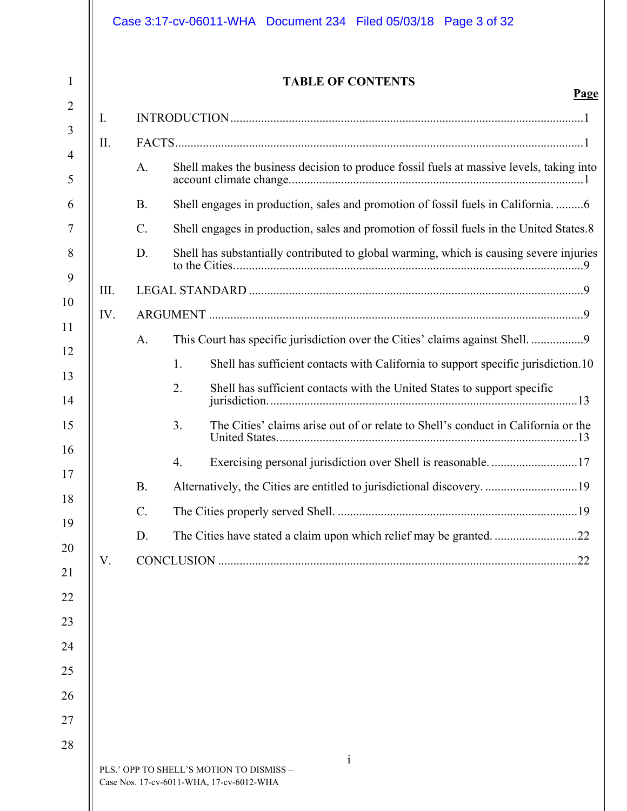|     |                 | <b>TABLE OF CONTENTS</b>                                                                 |
|-----|-----------------|------------------------------------------------------------------------------------------|
| Ι.  |                 |                                                                                          |
| II. |                 |                                                                                          |
|     | A.              | Shell makes the business decision to produce fossil fuels at massive levels, taking into |
|     | <b>B.</b>       | Shell engages in production, sales and promotion of fossil fuels in California6          |
|     | $\mathcal{C}$ . | Shell engages in production, sales and promotion of fossil fuels in the United States.8  |
|     | D.              | Shell has substantially contributed to global warming, which is causing severe injuries  |
| Ш.  |                 |                                                                                          |
| IV. |                 |                                                                                          |
|     | A.              | This Court has specific jurisdiction over the Cities' claims against Shell.              |
|     |                 | 1.<br>Shell has sufficient contacts with California to support specific jurisdiction.10  |
|     |                 | 2.<br>Shell has sufficient contacts with the United States to support specific           |
|     |                 | The Cities' claims arise out of or relate to Shell's conduct in California or the<br>3.  |
|     |                 | Exercising personal jurisdiction over Shell is reasonable. 17<br>4.                      |
|     | <b>B.</b>       | Alternatively, the Cities are entitled to jurisdictional discovery. 19                   |
|     | C.              |                                                                                          |
|     | D.              | The Cities have stated a claim upon which relief may be granted22                        |
| V.  |                 |                                                                                          |
|     |                 |                                                                                          |
|     |                 |                                                                                          |
|     |                 |                                                                                          |
|     |                 |                                                                                          |
|     |                 |                                                                                          |
|     |                 |                                                                                          |
|     |                 |                                                                                          |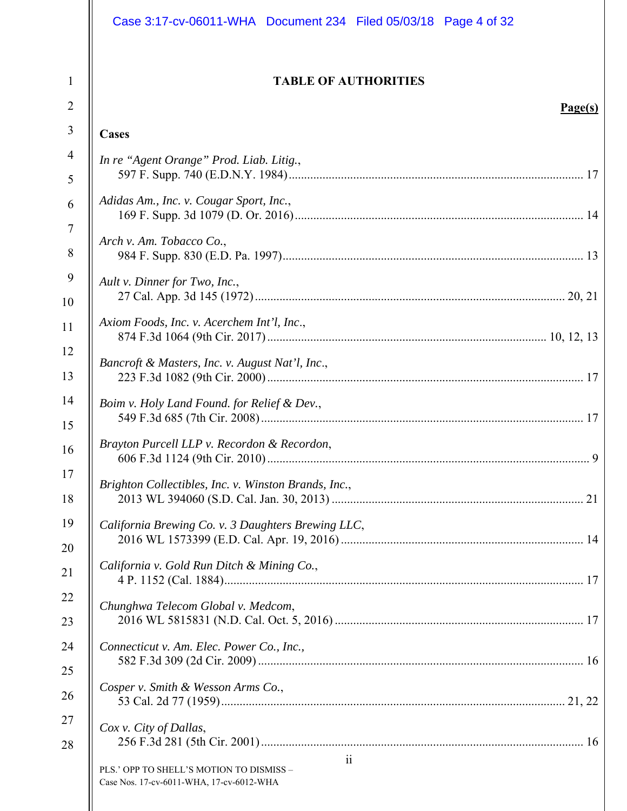|                | Case 3:17-cv-06011-WHA  Document 234  Filed 05/03/18  Page 4 of 32                         |
|----------------|--------------------------------------------------------------------------------------------|
| $\mathbf{1}$   | <b>TABLE OF AUTHORITIES</b>                                                                |
| $\overline{2}$ | Page(s)                                                                                    |
| $\mathfrak{Z}$ | Cases                                                                                      |
| $\overline{4}$ | In re "Agent Orange" Prod. Liab. Litig.,                                                   |
| 5              |                                                                                            |
| 6              | Adidas Am., Inc. v. Cougar Sport, Inc.,                                                    |
| $\tau$         |                                                                                            |
| 8              | Arch v. Am. Tobacco Co.,                                                                   |
| 9              | Ault v. Dinner for Two, Inc.,                                                              |
| 10             |                                                                                            |
| 11             | Axiom Foods, Inc. v. Acerchem Int'l, Inc.,                                                 |
| 12             | Bancroft & Masters, Inc. v. August Nat'l, Inc.,                                            |
| 13             |                                                                                            |
| 14             | Boim v. Holy Land Found. for Relief & Dev.,                                                |
| 15             |                                                                                            |
| 16             | Brayton Purcell LLP v. Recordon & Recordon,<br>606 F.3d 1124 (9th Cir. 2010)<br>9          |
| 17             | Brighton Collectibles, Inc. v. Winston Brands, Inc.,                                       |
| 18             |                                                                                            |
| 19             | California Brewing Co. v. 3 Daughters Brewing LLC,                                         |
| 20             |                                                                                            |
| 21             | California v. Gold Run Ditch & Mining Co.,                                                 |
| 22             | Chunghwa Telecom Global v. Medcom,                                                         |
| 23             |                                                                                            |
| 24             | Connecticut v. Am. Elec. Power Co., Inc.,                                                  |
| 25             |                                                                                            |
| 26             | Cosper v. Smith & Wesson Arms Co.,                                                         |
| 27             | Cox v. City of Dallas,                                                                     |
| 28             |                                                                                            |
|                | 11<br>PLS.' OPP TO SHELL'S MOTION TO DISMISS -<br>Case Nos. 17-cv-6011-WHA, 17-cv-6012-WHA |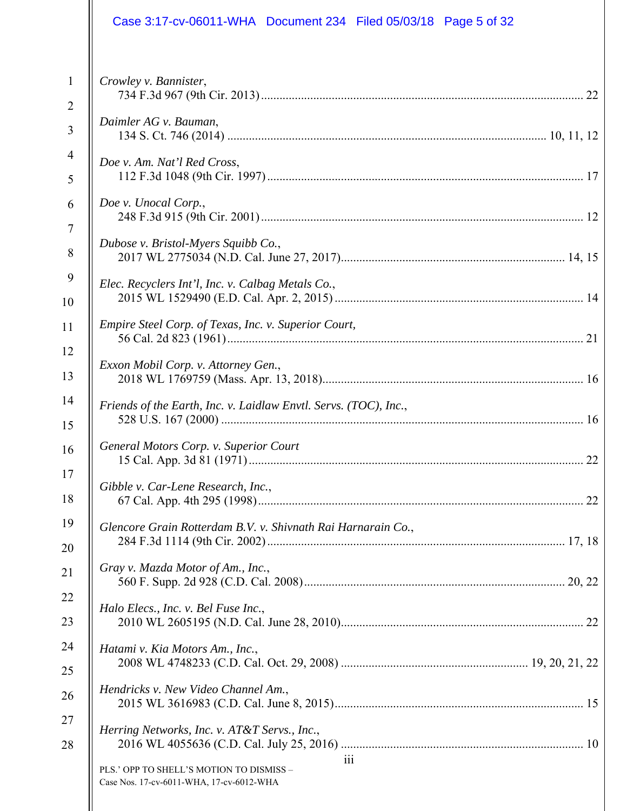|                | Case 3:17-cv-06011-WHA  Document 234  Filed 05/03/18  Page 5 of 32                          |
|----------------|---------------------------------------------------------------------------------------------|
| $\mathbf{1}$   | Crowley v. Bannister,                                                                       |
| $\overline{2}$ |                                                                                             |
| 3              | Daimler AG v. Bauman,                                                                       |
| $\overline{4}$ | Doe v. Am. Nat'l Red Cross,                                                                 |
| 5              |                                                                                             |
| 6              | Doe v. Unocal Corp.,                                                                        |
| $\tau$         |                                                                                             |
| 8              | Dubose v. Bristol-Myers Squibb Co.,                                                         |
| 9              | Elec. Recyclers Int'l, Inc. v. Calbag Metals Co.,                                           |
| 10             |                                                                                             |
| 11             | Empire Steel Corp. of Texas, Inc. v. Superior Court,                                        |
| 12             | Exxon Mobil Corp. v. Attorney Gen.,                                                         |
| 13             |                                                                                             |
| 14             | Friends of the Earth, Inc. v. Laidlaw Envtl. Servs. (TOC), Inc.,                            |
| 15             |                                                                                             |
| 16             | General Motors Corp. v. Superior Court                                                      |
| 17             | Gibble v. Car-Lene Research, Inc.,                                                          |
| 18             |                                                                                             |
| 19             | Glencore Grain Rotterdam B.V. v. Shivnath Rai Harnarain Co.,                                |
| 20             |                                                                                             |
| 21             | Gray v. Mazda Motor of Am., Inc.,                                                           |
| 22             | Halo Elecs., Inc. v. Bel Fuse Inc.,                                                         |
| 23             |                                                                                             |
| 24             | Hatami v. Kia Motors Am., Inc.,                                                             |
| 25             |                                                                                             |
| 26             | Hendricks v. New Video Channel Am.,                                                         |
| 27             | Herring Networks, Inc. v. AT&T Servs., Inc.,                                                |
| 28             |                                                                                             |
|                | 111<br>PLS.' OPP TO SHELL'S MOTION TO DISMISS -<br>Case Nos. 17-cv-6011-WHA, 17-cv-6012-WHA |
|                |                                                                                             |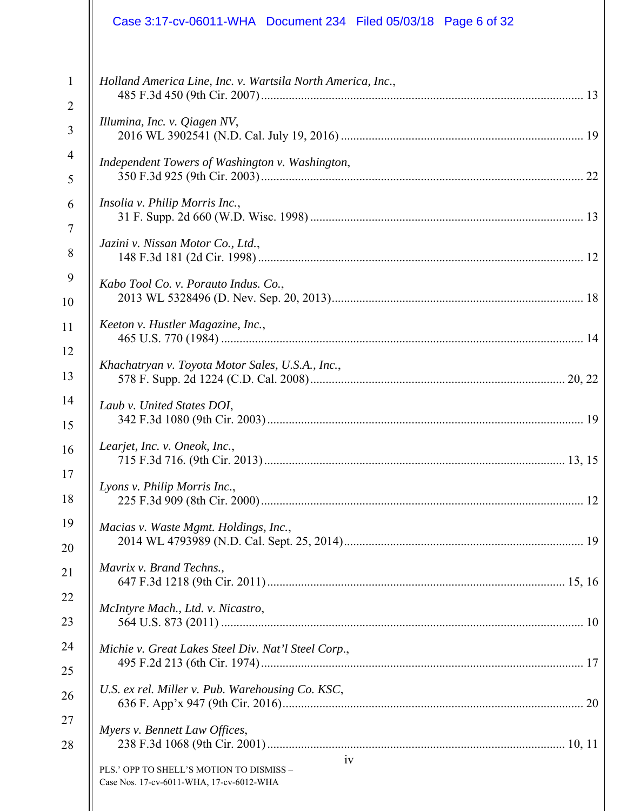|                | Case 3:17-cv-06011-WHA  Document 234  Filed 05/03/18  Page 6 of 32                         |
|----------------|--------------------------------------------------------------------------------------------|
| $\mathbf{1}$   | Holland America Line, Inc. v. Wartsila North America, Inc.,                                |
| $\overline{2}$ |                                                                                            |
| 3              | Illumina, Inc. v. Qiagen NV,                                                               |
| 4              | Independent Towers of Washington v. Washington,                                            |
| 5              |                                                                                            |
| 6              | Insolia v. Philip Morris Inc.,                                                             |
| $\tau$         | Jazini v. Nissan Motor Co., Ltd.,                                                          |
| 8              |                                                                                            |
| 9              | Kabo Tool Co. v. Porauto Indus. Co.,                                                       |
| 10             |                                                                                            |
| 11             | Keeton v. Hustler Magazine, Inc.,                                                          |
| 12             | Khachatryan v. Toyota Motor Sales, U.S.A., Inc.,                                           |
| 13             |                                                                                            |
| 14             | Laub v. United States DOI,                                                                 |
| 15             |                                                                                            |
| 16             | Learjet, Inc. v. Oneok, Inc.,                                                              |
| 17             | Lyons v. Philip Morris Inc.,                                                               |
| 18             |                                                                                            |
| 19             | Macias v. Waste Mgmt. Holdings, Inc.,                                                      |
| 20             |                                                                                            |
| 21             | Mavrix v. Brand Techns.,                                                                   |
| 22             | McIntyre Mach., Ltd. v. Nicastro,                                                          |
| 23             |                                                                                            |
| 24             | Michie v. Great Lakes Steel Div. Nat'l Steel Corp.,                                        |
| 25             |                                                                                            |
| 26             | U.S. ex rel. Miller v. Pub. Warehousing Co. KSC,                                           |
| 27             | Myers v. Bennett Law Offices,                                                              |
| 28             |                                                                                            |
|                | 1V<br>PLS.' OPP TO SHELL'S MOTION TO DISMISS -<br>Case Nos. 17-cv-6011-WHA, 17-cv-6012-WHA |
|                |                                                                                            |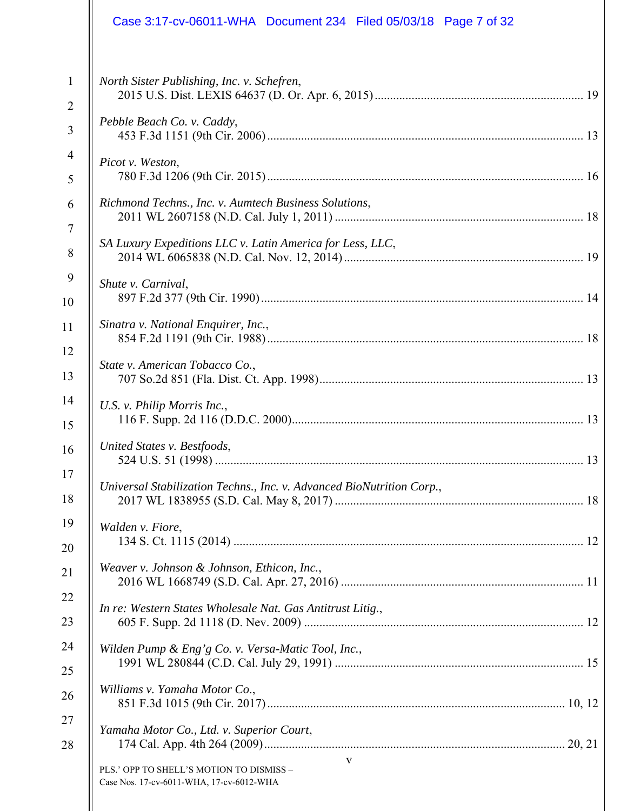|                | Case 3:17-cv-06011-WHA  Document 234  Filed 05/03/18  Page 7 of 32                        |
|----------------|-------------------------------------------------------------------------------------------|
| $\mathbf{1}$   | North Sister Publishing, Inc. v. Schefren,                                                |
| $\overline{2}$ |                                                                                           |
| 3              | Pebble Beach Co. v. Caddy,                                                                |
| $\overline{4}$ | Picot v. Weston,                                                                          |
| 5              |                                                                                           |
| 6              | Richmond Techns., Inc. v. Aumtech Business Solutions,                                     |
| $\tau$         |                                                                                           |
| 8              | SA Luxury Expeditions LLC v. Latin America for Less, LLC,                                 |
| 9              | Shute v. Carnival,                                                                        |
| 10             |                                                                                           |
| 11             | Sinatra v. National Enquirer, Inc.,                                                       |
| 12             |                                                                                           |
| 13             | State v. American Tobacco Co.,                                                            |
| 14             | U.S. v. Philip Morris Inc.,                                                               |
| 15             |                                                                                           |
| 16             | United States v. Bestfoods,                                                               |
| 17             |                                                                                           |
| 18             | Universal Stabilization Techns., Inc. v. Advanced BioNutrition Corp.,                     |
| 19             | Walden v. Fiore,                                                                          |
| 20             |                                                                                           |
| 21             | Weaver v. Johnson & Johnson, Ethicon, Inc.,                                               |
| 22             | In re: Western States Wholesale Nat. Gas Antitrust Litig.,                                |
| 23             |                                                                                           |
| 24             | Wilden Pump & Eng'g Co. v. Versa-Matic Tool, Inc.,                                        |
| 25             |                                                                                           |
| 26             | Williams v. Yamaha Motor Co.,                                                             |
| 27             | Yamaha Motor Co., Ltd. v. Superior Court,                                                 |
| 28             |                                                                                           |
|                | v<br>PLS.' OPP TO SHELL'S MOTION TO DISMISS -<br>Case Nos. 17-cv-6011-WHA, 17-cv-6012-WHA |
|                |                                                                                           |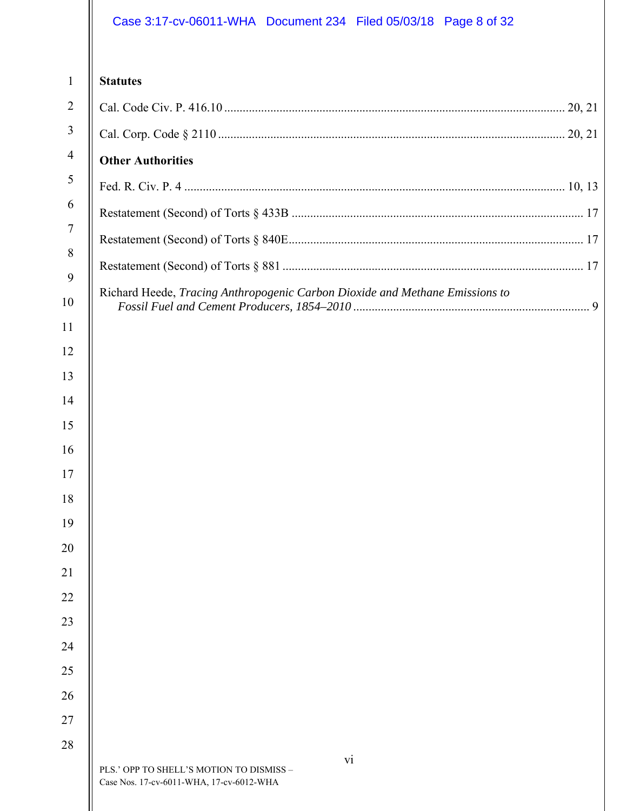# Case 3:17-cv-06011-WHA Document 234 Filed 05/03/18 Page 8 of 32

| $\mathbf{1}$   | <b>Statutes</b>                                                              |
|----------------|------------------------------------------------------------------------------|
| $\overline{2}$ |                                                                              |
| 3              |                                                                              |
| $\overline{4}$ | <b>Other Authorities</b>                                                     |
| 5              |                                                                              |
| 6              |                                                                              |
| 7              |                                                                              |
| 8              |                                                                              |
| 9<br>10        | Richard Heede, Tracing Anthropogenic Carbon Dioxide and Methane Emissions to |
| 11             |                                                                              |
| 12             |                                                                              |
| 13             |                                                                              |
| 14             |                                                                              |
| 15             |                                                                              |
| 16             |                                                                              |
| 17             |                                                                              |
| 18             |                                                                              |
| 19             |                                                                              |
| 20             |                                                                              |
| 21             |                                                                              |
| 22             |                                                                              |
| 23             |                                                                              |
| 24             |                                                                              |
| 25             |                                                                              |
| 26             |                                                                              |
| 27<br>28       |                                                                              |
|                | vi<br>PLS.' OPP TO SHELL'S MOTION TO DISMISS -                               |

Case Nos. 17-cv-6011-WHA, 17-cv-6012-WHA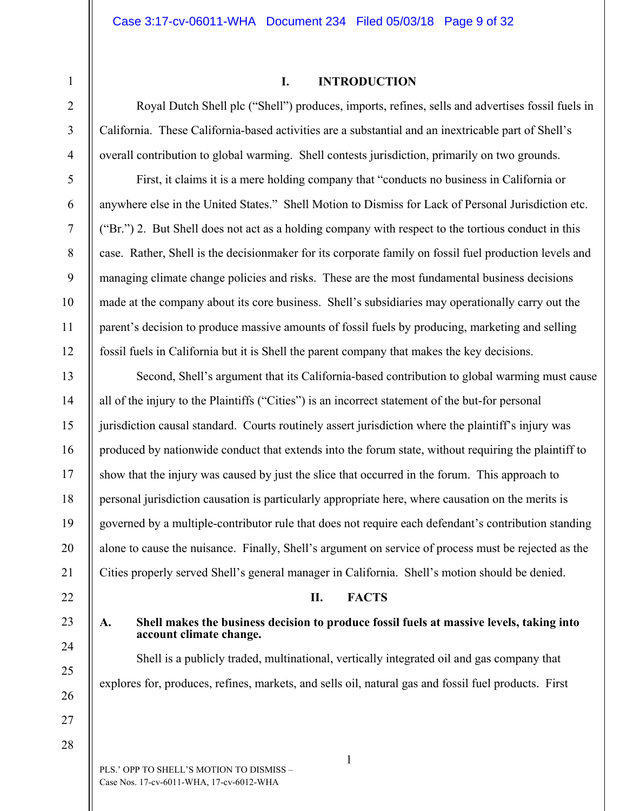1

2

3

4

5

6

7

8

9

10

11

12

13

14

15

16

17

18

19

20

21

22

23

24

25

26

27

28

### **I. INTRODUCTION**

Royal Dutch Shell plc ("Shell") produces, imports, refines, sells and advertises fossil fuels in California. These California-based activities are a substantial and an inextricable part of Shell's overall contribution to global warming. Shell contests jurisdiction, primarily on two grounds.

First, it claims it is a mere holding company that "conducts no business in California or anywhere else in the United States." Shell Motion to Dismiss for Lack of Personal Jurisdiction etc. ("Br.") 2. But Shell does not act as a holding company with respect to the tortious conduct in this case. Rather, Shell is the decisionmaker for its corporate family on fossil fuel production levels and managing climate change policies and risks. These are the most fundamental business decisions made at the company about its core business. Shell's subsidiaries may operationally carry out the parent's decision to produce massive amounts of fossil fuels by producing, marketing and selling fossil fuels in California but it is Shell the parent company that makes the key decisions.

Second, Shell's argument that its California-based contribution to global warming must cause all of the injury to the Plaintiffs ("Cities") is an incorrect statement of the but-for personal jurisdiction causal standard. Courts routinely assert jurisdiction where the plaintiff's injury was produced by nationwide conduct that extends into the forum state, without requiring the plaintiff to show that the injury was caused by just the slice that occurred in the forum. This approach to personal jurisdiction causation is particularly appropriate here, where causation on the merits is governed by a multiple-contributor rule that does not require each defendant's contribution standing alone to cause the nuisance. Finally, Shell's argument on service of process must be rejected as the Cities properly served Shell's general manager in California. Shell's motion should be denied.

## **II. FACTS**

# **A. Shell makes the business decision to produce fossil fuels at massive levels, taking into account climate change.**

Shell is a publicly traded, multinational, vertically integrated oil and gas company that explores for, produces, refines, markets, and sells oil, natural gas and fossil fuel products. First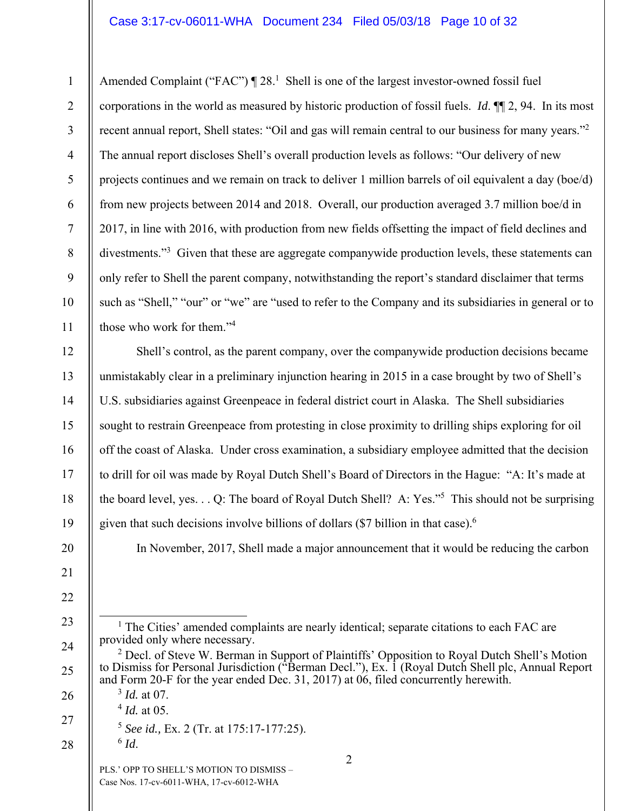1 2 3 4 5 6 7 8 9 10 11 Amended Complaint ("FAC")  $\P$  28.<sup>1</sup> Shell is one of the largest investor-owned fossil fuel corporations in the world as measured by historic production of fossil fuels. *Id*. ¶¶ 2, 94. In its most recent annual report, Shell states: "Oil and gas will remain central to our business for many years."<sup>2</sup> The annual report discloses Shell's overall production levels as follows: "Our delivery of new projects continues and we remain on track to deliver 1 million barrels of oil equivalent a day (boe/d) from new projects between 2014 and 2018. Overall, our production averaged 3.7 million boe/d in 2017, in line with 2016, with production from new fields offsetting the impact of field declines and divestments."<sup>3</sup> Given that these are aggregate companywide production levels, these statements can only refer to Shell the parent company, notwithstanding the report's standard disclaimer that terms such as "Shell," "our" or "we" are "used to refer to the Company and its subsidiaries in general or to those who work for them."4

Shell's control, as the parent company, over the companywide production decisions became unmistakably clear in a preliminary injunction hearing in 2015 in a case brought by two of Shell's U.S. subsidiaries against Greenpeace in federal district court in Alaska. The Shell subsidiaries sought to restrain Greenpeace from protesting in close proximity to drilling ships exploring for oil off the coast of Alaska. Under cross examination, a subsidiary employee admitted that the decision to drill for oil was made by Royal Dutch Shell's Board of Directors in the Hague: "A: It's made at the board level, yes. . . Q: The board of Royal Dutch Shell? A: Yes."<sup>5</sup> This should not be surprising given that such decisions involve billions of dollars (\$7 billion in that case).<sup>6</sup>

20

21

12

13

14

15

16

17

18

19

- 22 23
- 
- 24
- 25

26

27

<sup>5</sup> *See id.,* Ex. 2 (Tr. at 175:17-177:25).  $6$  *Id.* 

28

PLS.' OPP TO SHELL'S MOTION TO DISMISS – Case Nos. 17-cv-6011-WHA, 17-cv-6012-WHA

In November, 2017, Shell made a major announcement that it would be reducing the carbon

<sup>4</sup> *Id.* at 05.

 $\frac{1}{1}$  $<sup>1</sup>$  The Cities' amended complaints are nearly identical; separate citations to each FAC are</sup> provided only where necessary.

<sup>&</sup>lt;sup>2</sup> Decl. of Steve W. Berman in Support of Plaintiffs' Opposition to Royal Dutch Shell's Motion to Dismiss for Personal Jurisdiction ("Berman Decl."), Ex. 1 (Royal Dutch Shell plc, Annual Report and Form 20-F for the year ended Dec. 31, 2017) at 06, filed concurrently herewith. <sup>3</sup> *Id.* at 07.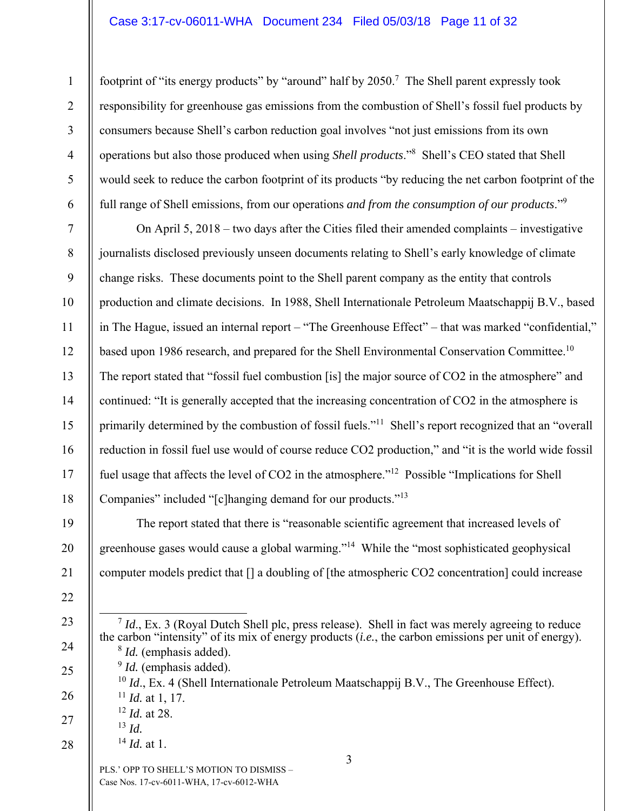### Case 3:17-cv-06011-WHA Document 234 Filed 05/03/18 Page 11 of 32

footprint of "its energy products" by "around" half by  $2050$ .<sup>7</sup> The Shell parent expressly took responsibility for greenhouse gas emissions from the combustion of Shell's fossil fuel products by consumers because Shell's carbon reduction goal involves "not just emissions from its own operations but also those produced when using *Shell products*."<sup>8</sup> Shell's CEO stated that Shell would seek to reduce the carbon footprint of its products "by reducing the net carbon footprint of the full range of Shell emissions, from our operations *and from the consumption of our products*."9

14 16 On April 5, 2018 – two days after the Cities filed their amended complaints – investigative journalists disclosed previously unseen documents relating to Shell's early knowledge of climate change risks. These documents point to the Shell parent company as the entity that controls production and climate decisions. In 1988, Shell Internationale Petroleum Maatschappij B.V., based in The Hague, issued an internal report – "The Greenhouse Effect" – that was marked "confidential," based upon 1986 research, and prepared for the Shell Environmental Conservation Committee.<sup>10</sup> The report stated that "fossil fuel combustion [is] the major source of CO2 in the atmosphere" and continued: "It is generally accepted that the increasing concentration of CO2 in the atmosphere is primarily determined by the combustion of fossil fuels."11 Shell's report recognized that an "overall reduction in fossil fuel use would of course reduce CO2 production," and "it is the world wide fossil fuel usage that affects the level of CO2 in the atmosphere."<sup>12</sup> Possible "Implications for Shell Companies" included "[c]hanging demand for our products."<sup>13</sup>

The report stated that there is "reasonable scientific agreement that increased levels of greenhouse gases would cause a global warming."14 While the "most sophisticated geophysical computer models predict that [] a doubling of [the atmospheric CO2 concentration] could increase

- 
- <sup>11</sup> *Id.* at 1, 17.
- <sup>12</sup> *Id.* at 28.
- <sup>13</sup> *Id.*
- <sup>14</sup> *Id.* at 1.

1

2

3

4

5

6

7

8

9

10

11

12

13

15

17

18

19

20

21

22

23

24

25

26

27

28

<sup>&</sup>lt;sup>7</sup> *Id.*, Ex. 3 (Royal Dutch Shell plc, press release). Shell in fact was merely agreeing to reduce the carbon "intensity" of its mix of energy products (*i.e.*, the carbon emissions per unit of energy). <sup>8</sup> *Id.* (emphasis added). <sup>9</sup> *Id.* (emphasis added). <sup>10</sup> *Id.*, Ex. 4 (Shell Internationale Petroleum Maatschappij B.V., The Greenhouse Effect).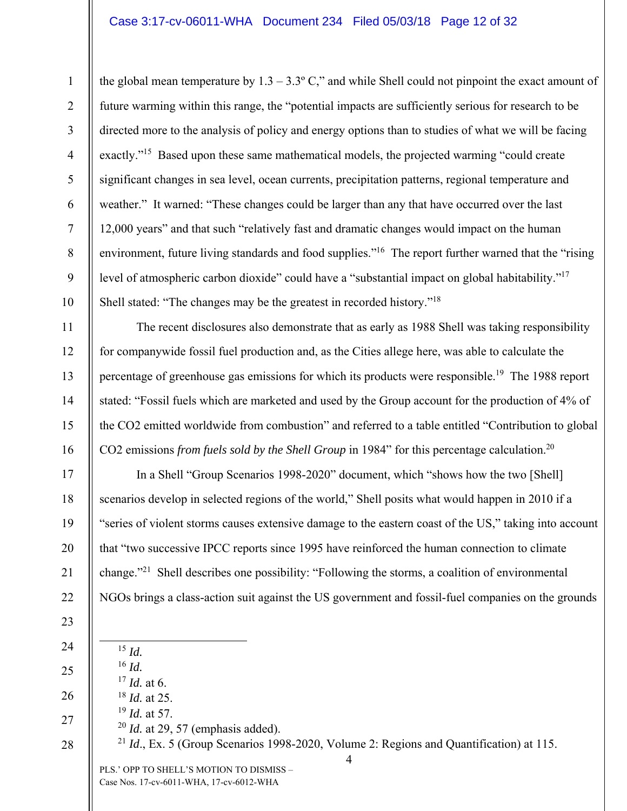the global mean temperature by  $1.3 - 3.3^{\circ}$  C," and while Shell could not pinpoint the exact amount of future warming within this range, the "potential impacts are sufficiently serious for research to be directed more to the analysis of policy and energy options than to studies of what we will be facing exactly."15 Based upon these same mathematical models, the projected warming "could create significant changes in sea level, ocean currents, precipitation patterns, regional temperature and weather." It warned: "These changes could be larger than any that have occurred over the last 12,000 years" and that such "relatively fast and dramatic changes would impact on the human environment, future living standards and food supplies."<sup>16</sup> The report further warned that the "rising" level of atmospheric carbon dioxide" could have a "substantial impact on global habitability."<sup>17</sup> Shell stated: "The changes may be the greatest in recorded history."18

The recent disclosures also demonstrate that as early as 1988 Shell was taking responsibility for companywide fossil fuel production and, as the Cities allege here, was able to calculate the percentage of greenhouse gas emissions for which its products were responsible.19 The 1988 report stated: "Fossil fuels which are marketed and used by the Group account for the production of 4% of the CO2 emitted worldwide from combustion" and referred to a table entitled "Contribution to global CO2 emissions *from fuels sold by the Shell Group* in 1984" for this percentage calculation.<sup>20</sup>

In a Shell "Group Scenarios 1998-2020" document, which "shows how the two [Shell] scenarios develop in selected regions of the world," Shell posits what would happen in 2010 if a "series of violent storms causes extensive damage to the eastern coast of the US," taking into account that "two successive IPCC reports since 1995 have reinforced the human connection to climate change."21 Shell describes one possibility: "Following the storms, a coalition of environmental NGOs brings a class-action suit against the US government and fossil-fuel companies on the grounds

23 24

25

26

27

28

1

2

3

4

5

6

7

8

9

10

11

12

13

14

15

16

17

18

19

20

21

22

4 PLS.' OPP TO SHELL'S MOTION TO DISMISS – 15 *Id.* <sup>16</sup> *Id.*  $17$  *Id.* at 6. <sup>18</sup> *Id.* at 25. <sup>19</sup> *Id.* at 57.  $^{20}$  *Id.* at 29, 57 (emphasis added). <sup>21</sup> *Id*., Ex. 5 (Group Scenarios 1998-2020, Volume 2: Regions and Quantification) at 115.

Case Nos. 17-cv-6011-WHA, 17-cv-6012-WHA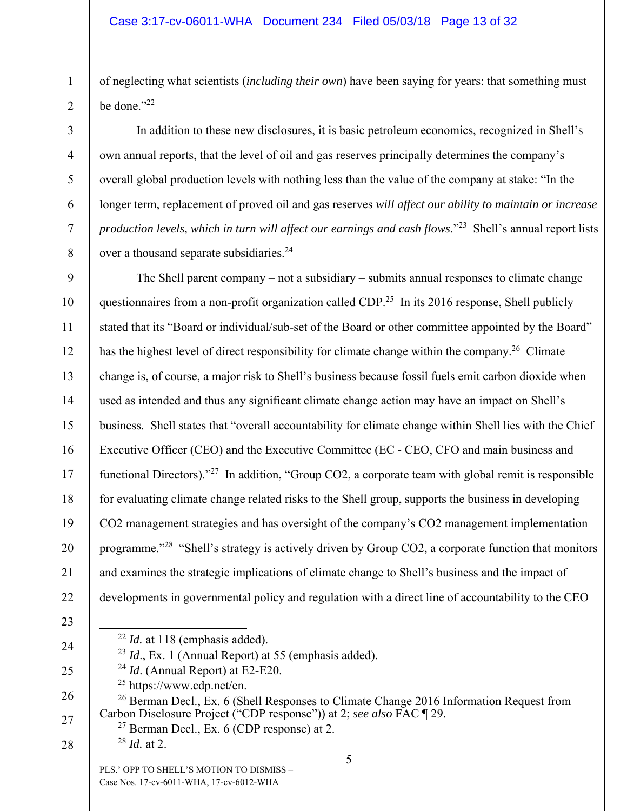of neglecting what scientists (*including their own*) have been saying for years: that something must be done."22

2 3

4

5

6

7

8

9

11

1

In addition to these new disclosures, it is basic petroleum economics, recognized in Shell's own annual reports, that the level of oil and gas reserves principally determines the company's overall global production levels with nothing less than the value of the company at stake: "In the longer term, replacement of proved oil and gas reserves *will affect our ability to maintain or increase production levels, which in turn will affect our earnings and cash flows*."23 Shell's annual report lists over a thousand separate subsidiaries.<sup>24</sup>

10 12 13 14 15 16 17 18 19 20 22 The Shell parent company – not a subsidiary – submits annual responses to climate change questionnaires from a non-profit organization called CDP.<sup>25</sup> In its 2016 response, Shell publicly stated that its "Board or individual/sub-set of the Board or other committee appointed by the Board" has the highest level of direct responsibility for climate change within the company.<sup>26</sup> Climate change is, of course, a major risk to Shell's business because fossil fuels emit carbon dioxide when used as intended and thus any significant climate change action may have an impact on Shell's business. Shell states that "overall accountability for climate change within Shell lies with the Chief Executive Officer (CEO) and the Executive Committee (EC - CEO, CFO and main business and functional Directors)."27 In addition, "Group CO2, a corporate team with global remit is responsible for evaluating climate change related risks to the Shell group, supports the business in developing CO2 management strategies and has oversight of the company's CO2 management implementation programme."28 "Shell's strategy is actively driven by Group CO2, a corporate function that monitors and examines the strategic implications of climate change to Shell's business and the impact of developments in governmental policy and regulation with a direct line of accountability to the CEO

23

21

24

25

26

27

22 *Id.* at 118 (emphasis added).

- <sup>23</sup> *Id*., Ex. 1 (Annual Report) at 55 (emphasis added).
- <sup>24</sup> *Id.* (Annual Report) at E2-E20.
- 25 https://www.cdp.net/en.
- <sup>26</sup> Berman Decl., Ex. 6 (Shell Responses to Climate Change 2016 Information Request from Carbon Disclosure Project ("CDP response")) at 2; *see also* FAC ¶ 29.
	- $27$  Berman Decl., Ex. 6 (CDP response) at 2. <sup>28</sup> *Id.* at 2.

28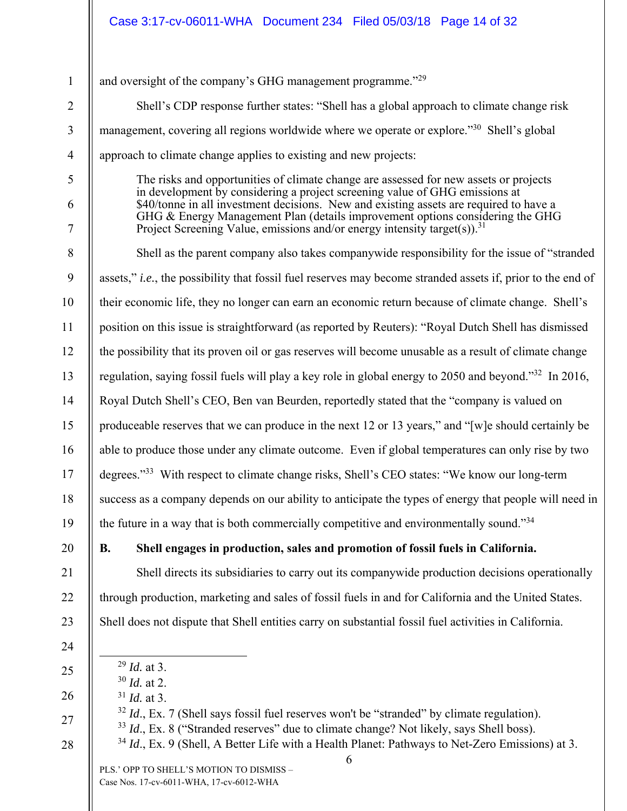# Case 3:17-cv-06011-WHA Document 234 Filed 05/03/18 Page 14 of 32

| $\mathbf{1}$   | and oversight of the company's GHG management programme." <sup>29</sup>                                                                                                                                                                                                                                                                        |  |  |  |  |
|----------------|------------------------------------------------------------------------------------------------------------------------------------------------------------------------------------------------------------------------------------------------------------------------------------------------------------------------------------------------|--|--|--|--|
| $\overline{2}$ | Shell's CDP response further states: "Shell has a global approach to climate change risk                                                                                                                                                                                                                                                       |  |  |  |  |
| 3              | management, covering all regions worldwide where we operate or explore."30 Shell's global                                                                                                                                                                                                                                                      |  |  |  |  |
| $\overline{4}$ | approach to climate change applies to existing and new projects:                                                                                                                                                                                                                                                                               |  |  |  |  |
| 5              | The risks and opportunities of climate change are assessed for new assets or projects                                                                                                                                                                                                                                                          |  |  |  |  |
| 6              | in development by considering a project screening value of GHG emissions at<br>\$40/tonne in all investment decisions. New and existing assets are required to have a<br>GHG & Energy Management Plan (details improvement options considering the GHG<br>Project Screening Value, emissions and/or energy intensity target(s)). <sup>31</sup> |  |  |  |  |
| 7              |                                                                                                                                                                                                                                                                                                                                                |  |  |  |  |
| 8              | Shell as the parent company also takes companywide responsibility for the issue of "stranded"                                                                                                                                                                                                                                                  |  |  |  |  |
| 9              | assets," <i>i.e.</i> , the possibility that fossil fuel reserves may become stranded assets if, prior to the end of                                                                                                                                                                                                                            |  |  |  |  |
| 10             | their economic life, they no longer can earn an economic return because of climate change. Shell's                                                                                                                                                                                                                                             |  |  |  |  |
| 11             | position on this issue is straightforward (as reported by Reuters): "Royal Dutch Shell has dismissed                                                                                                                                                                                                                                           |  |  |  |  |
| 12             | the possibility that its proven oil or gas reserves will become unusable as a result of climate change                                                                                                                                                                                                                                         |  |  |  |  |
| 13             | regulation, saying fossil fuels will play a key role in global energy to 2050 and beyond." <sup>32</sup> In 2016,                                                                                                                                                                                                                              |  |  |  |  |
| 14             | Royal Dutch Shell's CEO, Ben van Beurden, reportedly stated that the "company is valued on                                                                                                                                                                                                                                                     |  |  |  |  |
| 15             | produceable reserves that we can produce in the next 12 or 13 years," and "[w]e should certainly be                                                                                                                                                                                                                                            |  |  |  |  |
| 16             | able to produce those under any climate outcome. Even if global temperatures can only rise by two                                                                                                                                                                                                                                              |  |  |  |  |
| 17             | degrees." <sup>33</sup> With respect to climate change risks, Shell's CEO states: "We know our long-term                                                                                                                                                                                                                                       |  |  |  |  |
| 18             | success as a company depends on our ability to anticipate the types of energy that people will need in                                                                                                                                                                                                                                         |  |  |  |  |
| 19             | the future in a way that is both commercially competitive and environmentally sound."34                                                                                                                                                                                                                                                        |  |  |  |  |
| 20             | <b>B.</b><br>Shell engages in production, sales and promotion of fossil fuels in California.                                                                                                                                                                                                                                                   |  |  |  |  |
| 21             | Shell directs its subsidiaries to carry out its companywide production decisions operationally                                                                                                                                                                                                                                                 |  |  |  |  |
| 22             | through production, marketing and sales of fossil fuels in and for California and the United States.                                                                                                                                                                                                                                           |  |  |  |  |
| 23             | Shell does not dispute that Shell entities carry on substantial fossil fuel activities in California.                                                                                                                                                                                                                                          |  |  |  |  |

- 29 *Id.* at 3.
- <sup>30</sup> *Id.* at 2.

24

25

26

27

28

<sup>31</sup> *Id.* at 3.

- <sup>33</sup> *Id.*, Ex. 8 ("Stranded reserves" due to climate change? Not likely, says Shell boss).
- <sup>34</sup> *Id.*, Ex. 9 (Shell, A Better Life with a Health Planet: Pathways to Net-Zero Emissions) at 3.

6

 $32$  *Id.*, Ex. 7 (Shell says fossil fuel reserves won't be "stranded" by climate regulation).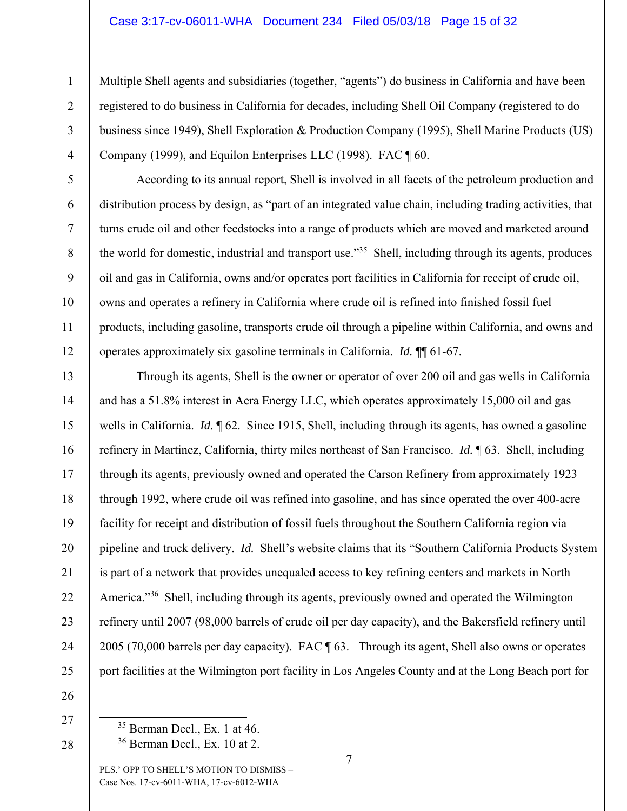## Case 3:17-cv-06011-WHA Document 234 Filed 05/03/18 Page 15 of 32

Multiple Shell agents and subsidiaries (together, "agents") do business in California and have been registered to do business in California for decades, including Shell Oil Company (registered to do business since 1949), Shell Exploration & Production Company (1995), Shell Marine Products (US) Company (1999), and Equilon Enterprises LLC (1998). FAC ¶ 60.

According to its annual report, Shell is involved in all facets of the petroleum production and distribution process by design, as "part of an integrated value chain, including trading activities, that turns crude oil and other feedstocks into a range of products which are moved and marketed around the world for domestic, industrial and transport use."35 Shell, including through its agents, produces oil and gas in California, owns and/or operates port facilities in California for receipt of crude oil, owns and operates a refinery in California where crude oil is refined into finished fossil fuel products, including gasoline, transports crude oil through a pipeline within California, and owns and operates approximately six gasoline terminals in California. *Id.* ¶¶ 61-67.

Through its agents, Shell is the owner or operator of over 200 oil and gas wells in California and has a 51.8% interest in Aera Energy LLC, which operates approximately 15,000 oil and gas wells in California. *Id.*  $\oint$  62. Since 1915, Shell, including through its agents, has owned a gasoline refinery in Martinez, California, thirty miles northeast of San Francisco. *Id.* ¶ 63. Shell, including through its agents, previously owned and operated the Carson Refinery from approximately 1923 through 1992, where crude oil was refined into gasoline, and has since operated the over 400-acre facility for receipt and distribution of fossil fuels throughout the Southern California region via pipeline and truck delivery. *Id.* Shell's website claims that its "Southern California Products System is part of a network that provides unequaled access to key refining centers and markets in North America."<sup>36</sup> Shell, including through its agents, previously owned and operated the Wilmington refinery until 2007 (98,000 barrels of crude oil per day capacity), and the Bakersfield refinery until 2005 (70,000 barrels per day capacity). FAC ¶ 63.Through its agent, Shell also owns or operates port facilities at the Wilmington port facility in Los Angeles County and at the Long Beach port for

26

27

28

1

2

3

4

5

6

7

8

9

10

11

12

13

14

15

16

17

18

19

20

21

22

23

24

25

 $35$  Berman Decl., Ex. 1 at 46.

<sup>36</sup> Berman Decl., Ex. 10 at 2.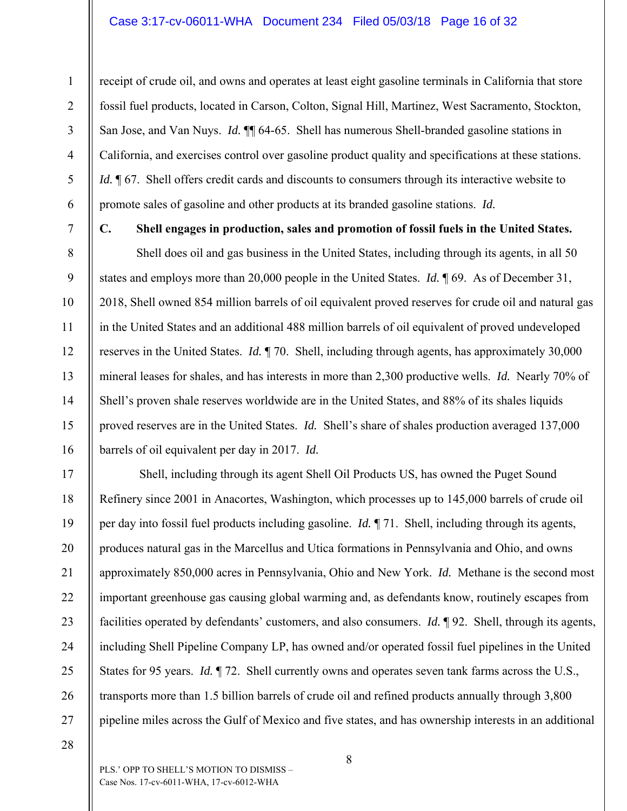### Case 3:17-cv-06011-WHA Document 234 Filed 05/03/18 Page 16 of 32

receipt of crude oil, and owns and operates at least eight gasoline terminals in California that store fossil fuel products, located in Carson, Colton, Signal Hill, Martinez, West Sacramento, Stockton, San Jose, and Van Nuys. *Id.* ¶¶ 64-65. Shell has numerous Shell-branded gasoline stations in California, and exercises control over gasoline product quality and specifications at these stations. *Id.*  $\parallel$  67. Shell offers credit cards and discounts to consumers through its interactive website to promote sales of gasoline and other products at its branded gasoline stations. *Id.*

7

1

2

3

4

5

6

8

9

10

11

12

13

14

15

16

### **C. Shell engages in production, sales and promotion of fossil fuels in the United States.**

Shell does oil and gas business in the United States, including through its agents, in all 50 states and employs more than 20,000 people in the United States. *Id.* ¶ 69. As of December 31, 2018, Shell owned 854 million barrels of oil equivalent proved reserves for crude oil and natural gas in the United States and an additional 488 million barrels of oil equivalent of proved undeveloped reserves in the United States. *Id.* ¶ 70. Shell, including through agents, has approximately 30,000 mineral leases for shales, and has interests in more than 2,300 productive wells. *Id.* Nearly 70% of Shell's proven shale reserves worldwide are in the United States, and 88% of its shales liquids proved reserves are in the United States. *Id.* Shell's share of shales production averaged 137,000 barrels of oil equivalent per day in 2017. *Id.* 

17 18 19 20 21 22 23 24 25 26 27 Shell, including through its agent Shell Oil Products US, has owned the Puget Sound Refinery since 2001 in Anacortes, Washington, which processes up to 145,000 barrels of crude oil per day into fossil fuel products including gasoline. *Id.* ¶ 71. Shell, including through its agents, produces natural gas in the Marcellus and Utica formations in Pennsylvania and Ohio, and owns approximately 850,000 acres in Pennsylvania, Ohio and New York. *Id.* Methane is the second most important greenhouse gas causing global warming and, as defendants know, routinely escapes from facilities operated by defendants' customers, and also consumers. *Id.* ¶ 92. Shell, through its agents, including Shell Pipeline Company LP, has owned and/or operated fossil fuel pipelines in the United States for 95 years. *Id.* 172. Shell currently owns and operates seven tank farms across the U.S., transports more than 1.5 billion barrels of crude oil and refined products annually through 3,800 pipeline miles across the Gulf of Mexico and five states, and has ownership interests in an additional

28

8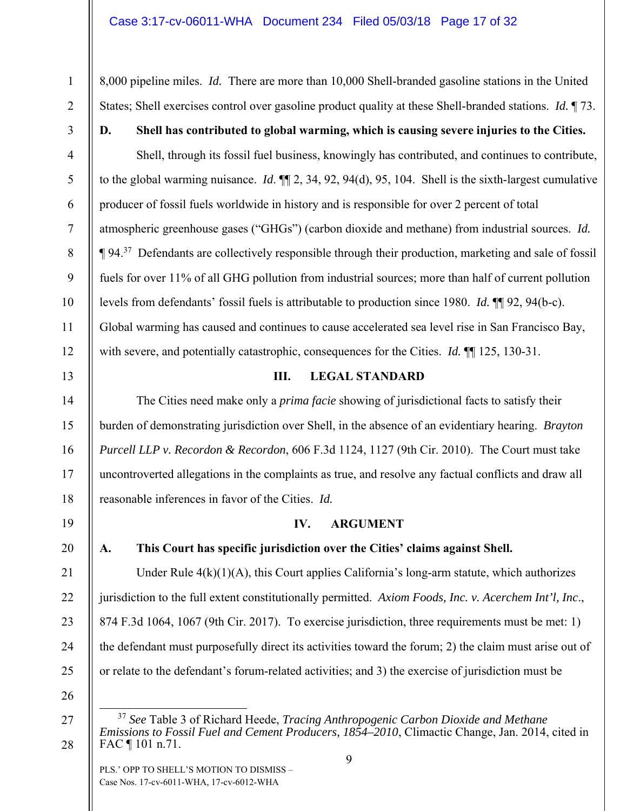8,000 pipeline miles. *Id.* There are more than 10,000 Shell-branded gasoline stations in the United States; Shell exercises control over gasoline product quality at these Shell-branded stations. *Id.* ¶ 73.

1

2

3

4

5

6

7

8

9

10

11

12

13

14

15

16

17

18

19

20

21

22

23

24

25

**D. Shell has contributed to global warming, which is causing severe injuries to the Cities.** 

Shell, through its fossil fuel business, knowingly has contributed, and continues to contribute, to the global warming nuisance. *Id*. ¶¶ 2, 34, 92, 94(d), 95, 104. Shell is the sixth-largest cumulative producer of fossil fuels worldwide in history and is responsible for over 2 percent of total atmospheric greenhouse gases ("GHGs") (carbon dioxide and methane) from industrial sources. *Id.* ¶ 94.37 Defendants are collectively responsible through their production, marketing and sale of fossil fuels for over 11% of all GHG pollution from industrial sources; more than half of current pollution levels from defendants' fossil fuels is attributable to production since 1980. *Id.* ¶¶ 92, 94(b-c). Global warming has caused and continues to cause accelerated sea level rise in San Francisco Bay, with severe, and potentially catastrophic, consequences for the Cities. *Id.*  $\P$  125, 130-31.

# **III. LEGAL STANDARD**

The Cities need make only a *prima facie* showing of jurisdictional facts to satisfy their burden of demonstrating jurisdiction over Shell, in the absence of an evidentiary hearing. *Brayton Purcell LLP v. Recordon & Recordon*, 606 F.3d 1124, 1127 (9th Cir. 2010). The Court must take uncontroverted allegations in the complaints as true, and resolve any factual conflicts and draw all reasonable inferences in favor of the Cities. *Id.*

# **IV. ARGUMENT**

# **A. This Court has specific jurisdiction over the Cities' claims against Shell.**

Under Rule  $4(k)(1)(A)$ , this Court applies California's long-arm statute, which authorizes jurisdiction to the full extent constitutionally permitted. *Axiom Foods, Inc. v. Acerchem Int'l, Inc*., 874 F.3d 1064, 1067 (9th Cir. 2017). To exercise jurisdiction, three requirements must be met: 1) the defendant must purposefully direct its activities toward the forum; 2) the claim must arise out of or relate to the defendant's forum-related activities; and 3) the exercise of jurisdiction must be

26

27

28

 <sup>37</sup> *See* Table 3 of Richard Heede, *Tracing Anthropogenic Carbon Dioxide and Methane Emissions to Fossil Fuel and Cement Producers, 1854–2010*, Climactic Change, Jan. 2014, cited in FAC ¶ 101 n.71.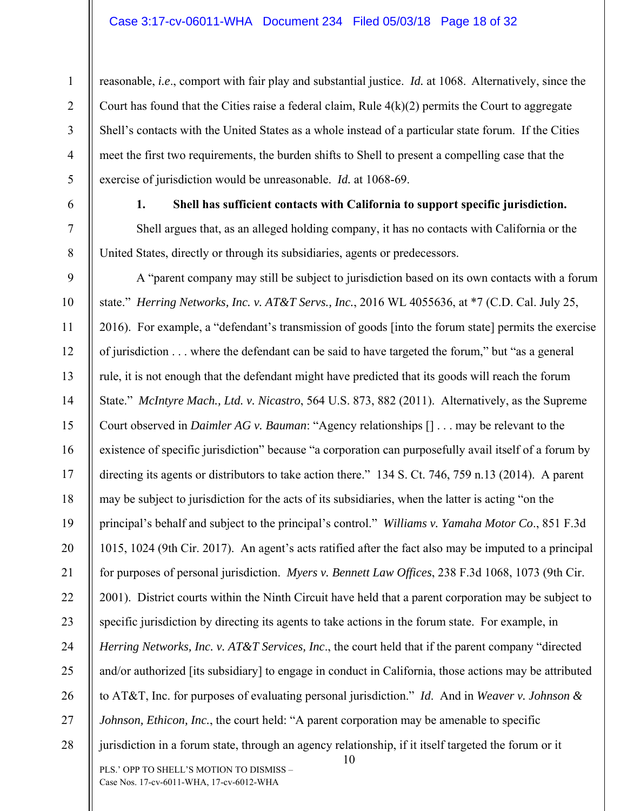reasonable, *i.e*., comport with fair play and substantial justice. *Id.* at 1068. Alternatively, since the Court has found that the Cities raise a federal claim, Rule  $4(k)(2)$  permits the Court to aggregate Shell's contacts with the United States as a whole instead of a particular state forum. If the Cities meet the first two requirements, the burden shifts to Shell to present a compelling case that the exercise of jurisdiction would be unreasonable. *Id.* at 1068-69.

1

2

3

4

5

6

7

8

# **1. Shell has sufficient contacts with California to support specific jurisdiction.**

Shell argues that, as an alleged holding company, it has no contacts with California or the United States, directly or through its subsidiaries, agents or predecessors.

10 PLS.' OPP TO SHELL'S MOTION TO DISMISS – Case Nos. 17-cv-6011-WHA, 17-cv-6012-WHA 9 10 11 12 13 14 15 16 17 18 19 20 21 22 23 24 25 26 27 28 A "parent company may still be subject to jurisdiction based on its own contacts with a forum state." *Herring Networks, Inc. v. AT&T Servs., Inc.*, 2016 WL 4055636, at \*7 (C.D. Cal. July 25, 2016). For example, a "defendant's transmission of goods [into the forum state] permits the exercise of jurisdiction . . . where the defendant can be said to have targeted the forum," but "as a general rule, it is not enough that the defendant might have predicted that its goods will reach the forum State." *McIntyre Mach., Ltd. v. Nicastro*, 564 U.S. 873, 882 (2011). Alternatively, as the Supreme Court observed in *Daimler AG v. Bauman*: "Agency relationships [] . . . may be relevant to the existence of specific jurisdiction" because "a corporation can purposefully avail itself of a forum by directing its agents or distributors to take action there." 134 S. Ct. 746, 759 n.13 (2014). A parent may be subject to jurisdiction for the acts of its subsidiaries, when the latter is acting "on the principal's behalf and subject to the principal's control." *Williams v. Yamaha Motor Co*., 851 F.3d 1015, 1024 (9th Cir. 2017). An agent's acts ratified after the fact also may be imputed to a principal for purposes of personal jurisdiction. *Myers v. Bennett Law Offices*, 238 F.3d 1068, 1073 (9th Cir. 2001). District courts within the Ninth Circuit have held that a parent corporation may be subject to specific jurisdiction by directing its agents to take actions in the forum state. For example, in *Herring Networks, Inc. v. AT&T Services, Inc*., the court held that if the parent company "directed and/or authorized [its subsidiary] to engage in conduct in California, those actions may be attributed to AT&T, Inc. for purposes of evaluating personal jurisdiction." *Id*. And in *Weaver v. Johnson & Johnson, Ethicon, Inc., the court held:* "A parent corporation may be amenable to specific jurisdiction in a forum state, through an agency relationship, if it itself targeted the forum or it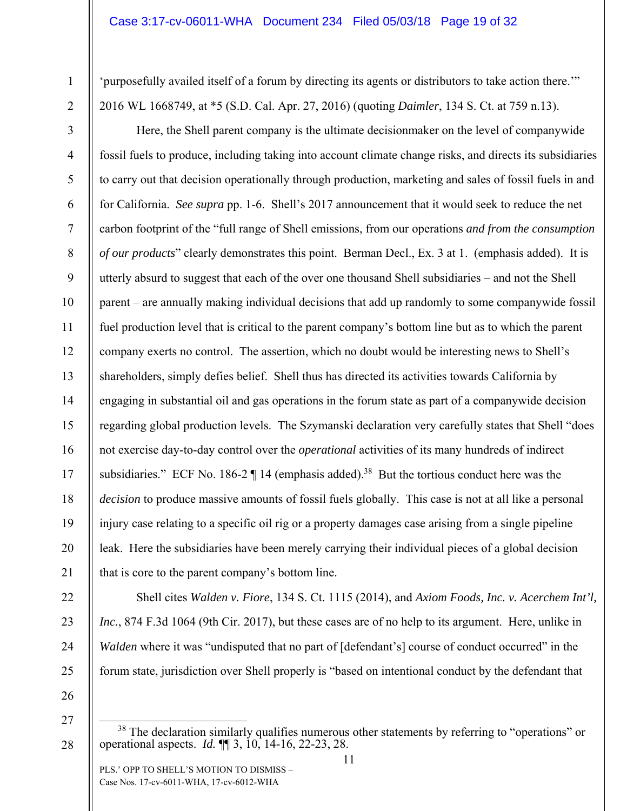'purposefully availed itself of a forum by directing its agents or distributors to take action there.'" 2016 WL 1668749, at \*5 (S.D. Cal. Apr. 27, 2016) (quoting *Daimler*, 134 S. Ct. at 759 n.13).

 Here, the Shell parent company is the ultimate decisionmaker on the level of companywide fossil fuels to produce, including taking into account climate change risks, and directs its subsidiaries to carry out that decision operationally through production, marketing and sales of fossil fuels in and for California. *See supra* pp. 1-6. Shell's 2017 announcement that it would seek to reduce the net carbon footprint of the "full range of Shell emissions, from our operations *and from the consumption of our products*" clearly demonstrates this point. Berman Decl., Ex. 3 at 1. (emphasis added). It is utterly absurd to suggest that each of the over one thousand Shell subsidiaries – and not the Shell parent – are annually making individual decisions that add up randomly to some companywide fossil fuel production level that is critical to the parent company's bottom line but as to which the parent company exerts no control. The assertion, which no doubt would be interesting news to Shell's shareholders, simply defies belief. Shell thus has directed its activities towards California by engaging in substantial oil and gas operations in the forum state as part of a companywide decision regarding global production levels. The Szymanski declaration very carefully states that Shell "does not exercise day-to-day control over the *operational* activities of its many hundreds of indirect subsidiaries." ECF No. 186-2  $\P$  14 (emphasis added).<sup>38</sup> But the tortious conduct here was the *decision* to produce massive amounts of fossil fuels globally. This case is not at all like a personal injury case relating to a specific oil rig or a property damages case arising from a single pipeline leak. Here the subsidiaries have been merely carrying their individual pieces of a global decision that is core to the parent company's bottom line.

22 23 24

1

2

3

4

5

6

7

8

9

10

11

12

13

14

15

16

17

18

19

20

21

- 25
- 26 27

28

PLS.' OPP TO SHELL'S MOTION TO DISMISS – Case Nos. 17-cv-6011-WHA, 17-cv-6012-WHA

Shell cites *Walden v. Fiore*, 134 S. Ct. 1115 (2014), and *Axiom Foods, Inc. v. Acerchem Int'l,* 

*Inc.*, 874 F.3d 1064 (9th Cir. 2017), but these cases are of no help to its argument. Here, unlike in

*Walden* where it was "undisputed that no part of [defendant's] course of conduct occurred" in the

forum state, jurisdiction over Shell properly is "based on intentional conduct by the defendant that

<sup>&</sup>lt;sup>38</sup> The declaration similarly qualifies numerous other statements by referring to "operations" or operational aspects. *Id.* ¶¶ 3, 10, 14-16, 22-23, 28.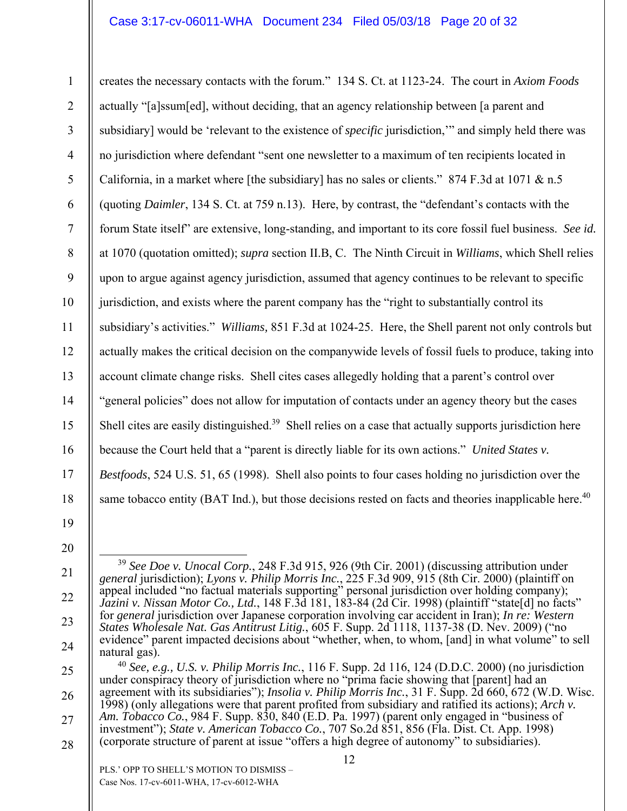## Case 3:17-cv-06011-WHA Document 234 Filed 05/03/18 Page 20 of 32

1 2 3 4 5 6 7 8 9 10 11 12 13 14 15 16 17 18 creates the necessary contacts with the forum." 134 S. Ct. at 1123-24. The court in *Axiom Foods* actually "[a]ssum[ed], without deciding, that an agency relationship between [a parent and subsidiary] would be 'relevant to the existence of *specific* jurisdiction,'" and simply held there was no jurisdiction where defendant "sent one newsletter to a maximum of ten recipients located in California, in a market where [the subsidiary] has no sales or clients." 874 F.3d at 1071 & n.5 (quoting *Daimler*, 134 S. Ct. at 759 n.13). Here, by contrast, the "defendant's contacts with the forum State itself" are extensive, long-standing, and important to its core fossil fuel business. *See id.* at 1070 (quotation omitted); *supra* section II.B, C. The Ninth Circuit in *Williams*, which Shell relies upon to argue against agency jurisdiction, assumed that agency continues to be relevant to specific jurisdiction, and exists where the parent company has the "right to substantially control its subsidiary's activities." *Williams,* 851 F.3d at 1024-25. Here, the Shell parent not only controls but actually makes the critical decision on the companywide levels of fossil fuels to produce, taking into account climate change risks. Shell cites cases allegedly holding that a parent's control over "general policies" does not allow for imputation of contacts under an agency theory but the cases Shell cites are easily distinguished.<sup>39</sup> Shell relies on a case that actually supports jurisdiction here because the Court held that a "parent is directly liable for its own actions." *United States v. Bestfoods*, 524 U.S. 51, 65 (1998). Shell also points to four cases holding no jurisdiction over the same tobacco entity (BAT Ind.), but those decisions rested on facts and theories inapplicable here.<sup>40</sup>

19 20

21

22

23

24

25

26

27

28

<sup>40</sup> *See, e.g., U.S. v. Philip Morris Inc.*, 116 F. Supp. 2d 116, 124 (D.D.C. 2000) (no jurisdiction under conspiracy theory of jurisdiction where no "prima facie showing that [parent] had an agreement with its subsidiaries"); *Insolia v. Philip Morris Inc.*, 31 F. Supp. 2d 660, 672 (W.D. Wisc. 1998) (only allegations were that parent profited from subsidiary and ratified its actions); *Arch v. Am. Tobacco Co.*, 984 F. Supp. 830, 840 (E.D. Pa. 1997) (parent only engaged in "business of investment"); *State v. American Tobacco Co.*, 707 So.2d 851, 856 (Fla. Dist. Ct. App. 1998) (corporate structure of parent at issue "offers a high degree of autonomy" to subsidiaries).

 <sup>39</sup> *See Doe v. Unocal Corp.*, 248 F.3d 915, 926 (9th Cir. 2001) (discussing attribution under *general* jurisdiction); *Lyons v. Philip Morris Inc.*, 225 F.3d 909, 915 (8th Cir. 2000) (plaintiff on appeal included "no factual materials supporting" personal jurisdiction over holding company); *Jazini v. Nissan Motor Co., Ltd.*, 148 F.3d 181, 183-84 (2d Cir. 1998) (plaintiff "state[d] no facts" for *general* jurisdiction over Japanese corporation involving car accident in Iran); *In re: Western States Wholesale Nat. Gas Antitrust Litig.*, 605 F. Supp. 2d 1118, 1137-38 (D. Nev. 2009) ("no evidence" parent impacted decisions about "whether, when, to whom, [and] in what volume" to sell natural gas).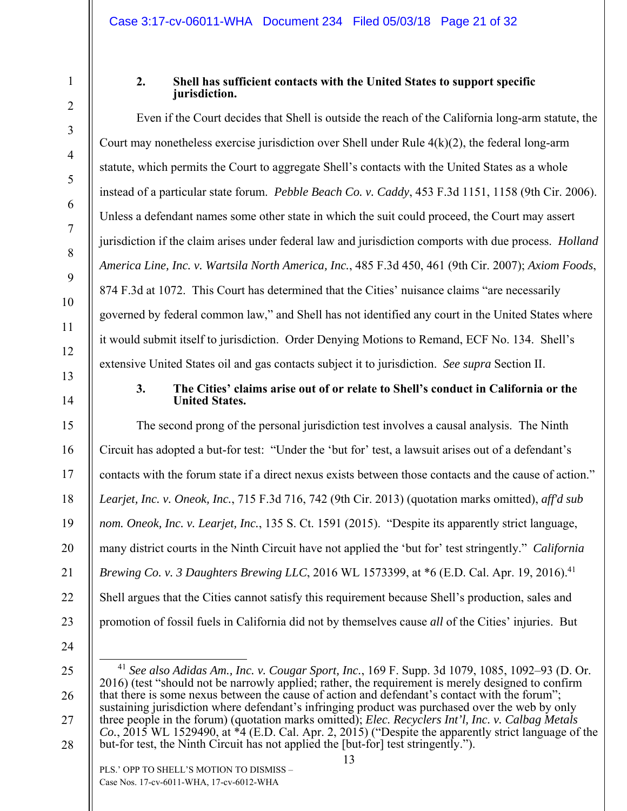1

2

3

4

5

6

7

8

9

10

11

12

13

14

15

16

17

18

19

20

21

22

23

## **2. Shell has sufficient contacts with the United States to support specific jurisdiction.**

Even if the Court decides that Shell is outside the reach of the California long-arm statute, the Court may nonetheless exercise jurisdiction over Shell under Rule  $4(k)(2)$ , the federal long-arm statute, which permits the Court to aggregate Shell's contacts with the United States as a whole instead of a particular state forum. *Pebble Beach Co. v. Caddy*, 453 F.3d 1151, 1158 (9th Cir. 2006). Unless a defendant names some other state in which the suit could proceed, the Court may assert jurisdiction if the claim arises under federal law and jurisdiction comports with due process. *Holland America Line, Inc. v. Wartsila North America, Inc.*, 485 F.3d 450, 461 (9th Cir. 2007); *Axiom Foods*, 874 F.3d at 1072. This Court has determined that the Cities' nuisance claims "are necessarily governed by federal common law," and Shell has not identified any court in the United States where it would submit itself to jurisdiction. Order Denying Motions to Remand, ECF No. 134. Shell's extensive United States oil and gas contacts subject it to jurisdiction. *See supra* Section II.

## **3. The Cities' claims arise out of or relate to Shell's conduct in California or the United States.**

The second prong of the personal jurisdiction test involves a causal analysis. The Ninth Circuit has adopted a but-for test: "Under the 'but for' test, a lawsuit arises out of a defendant's contacts with the forum state if a direct nexus exists between those contacts and the cause of action." *Learjet, Inc. v. Oneok, Inc.*, 715 F.3d 716, 742 (9th Cir. 2013) (quotation marks omitted), *aff'd sub nom. Oneok, Inc. v. Learjet, Inc.*, 135 S. Ct. 1591 (2015). "Despite its apparently strict language, many district courts in the Ninth Circuit have not applied the 'but for' test stringently." *California Brewing Co. v. 3 Daughters Brewing LLC*, 2016 WL 1573399, at \*6 (E.D. Cal. Apr. 19, 2016).<sup>41</sup> Shell argues that the Cities cannot satisfy this requirement because Shell's production, sales and promotion of fossil fuels in California did not by themselves cause *all* of the Cities' injuries. But

- 24
- 25

26

27

28

 41 *See also Adidas Am., Inc. v. Cougar Sport, Inc.*, 169 F. Supp. 3d 1079, 1085, 1092–93 (D. Or. 2016) (test "should not be narrowly applied; rather, the requirement is merely designed to confirm that there is some nexus between the cause of action and defendant's contact with the forum"; sustaining jurisdiction where defendant's infringing product was purchased over the web by only three people in the forum) (quotation marks omitted); *Elec. Recyclers Int'l, Inc. v. Calbag Metals Co.*, 2015 WL 1529490, at \*4 (E.D. Cal. Apr. 2, 2015) ("Despite the apparently strict language of the but-for test, the Ninth Circuit has not applied the [but-for] test stringently.").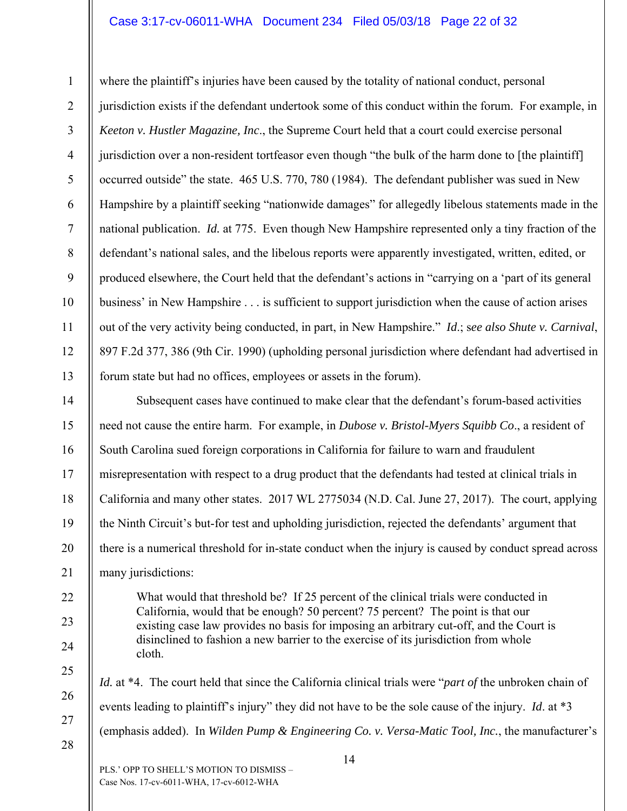## Case 3:17-cv-06011-WHA Document 234 Filed 05/03/18 Page 22 of 32

1 2 3 4 5 6 7 8 9 10 11 12 13 where the plaintiff's injuries have been caused by the totality of national conduct, personal jurisdiction exists if the defendant undertook some of this conduct within the forum. For example, in *Keeton v. Hustler Magazine, Inc*., the Supreme Court held that a court could exercise personal jurisdiction over a non-resident tortfeasor even though "the bulk of the harm done to [the plaintiff] occurred outside" the state. 465 U.S. 770, 780 (1984). The defendant publisher was sued in New Hampshire by a plaintiff seeking "nationwide damages" for allegedly libelous statements made in the national publication. *Id.* at 775. Even though New Hampshire represented only a tiny fraction of the defendant's national sales, and the libelous reports were apparently investigated, written, edited, or produced elsewhere, the Court held that the defendant's actions in "carrying on a 'part of its general business' in New Hampshire . . . is sufficient to support jurisdiction when the cause of action arises out of the very activity being conducted, in part, in New Hampshire." *Id*.; s*ee also Shute v. Carnival*, 897 F.2d 377, 386 (9th Cir. 1990) (upholding personal jurisdiction where defendant had advertised in forum state but had no offices, employees or assets in the forum).

14 15 16 17 18 19 20 21 Subsequent cases have continued to make clear that the defendant's forum-based activities need not cause the entire harm. For example, in *Dubose v. Bristol-Myers Squibb Co*., a resident of South Carolina sued foreign corporations in California for failure to warn and fraudulent misrepresentation with respect to a drug product that the defendants had tested at clinical trials in California and many other states. 2017 WL 2775034 (N.D. Cal. June 27, 2017). The court, applying the Ninth Circuit's but-for test and upholding jurisdiction, rejected the defendants' argument that there is a numerical threshold for in-state conduct when the injury is caused by conduct spread across many jurisdictions:

> What would that threshold be? If 25 percent of the clinical trials were conducted in California, would that be enough? 50 percent? 75 percent? The point is that our existing case law provides no basis for imposing an arbitrary cut-off, and the Court is disinclined to fashion a new barrier to the exercise of its jurisdiction from whole cloth.

*Id.* at \*4. The court held that since the California clinical trials were "*part of* the unbroken chain of events leading to plaintiff's injury" they did not have to be the sole cause of the injury. *Id*. at \*3 (emphasis added). In *Wilden Pump & Engineering Co. v. Versa-Matic Tool, Inc.*, the manufacturer's

PLS.' OPP TO SHELL'S MOTION TO DISMISS – Case Nos. 17-cv-6011-WHA, 17-cv-6012-WHA

22

23

24

25

26

27

28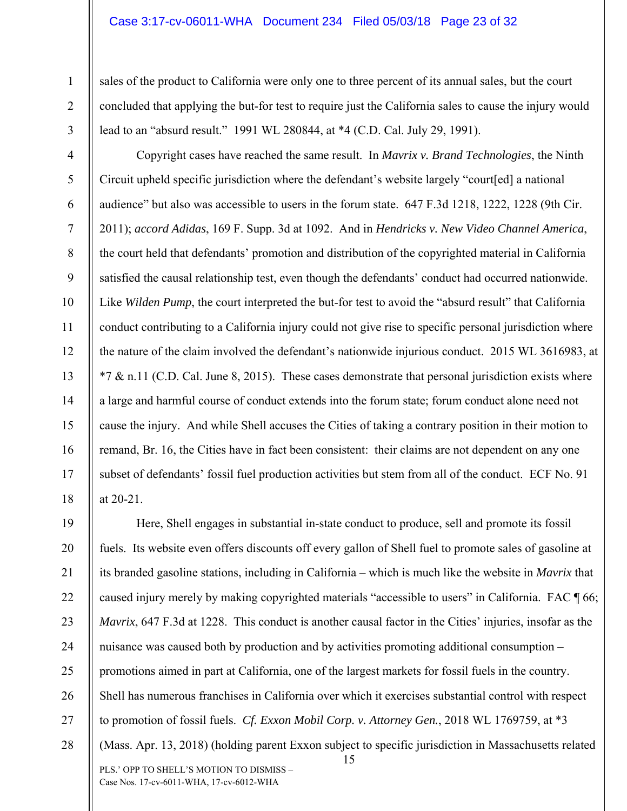#### Case 3:17-cv-06011-WHA Document 234 Filed 05/03/18 Page 23 of 32

1

2

3

4

5

6

7

8

9

10

11

12

13

14

15

16

17

18

sales of the product to California were only one to three percent of its annual sales, but the court concluded that applying the but-for test to require just the California sales to cause the injury would lead to an "absurd result." 1991 WL 280844, at \*4 (C.D. Cal. July 29, 1991).

Copyright cases have reached the same result. In *Mavrix v. Brand Technologies*, the Ninth Circuit upheld specific jurisdiction where the defendant's website largely "court[ed] a national audience" but also was accessible to users in the forum state. 647 F.3d 1218, 1222, 1228 (9th Cir. 2011); *accord Adidas*, 169 F. Supp. 3d at 1092. And in *Hendricks v. New Video Channel America*, the court held that defendants' promotion and distribution of the copyrighted material in California satisfied the causal relationship test, even though the defendants' conduct had occurred nationwide. Like *Wilden Pump*, the court interpreted the but-for test to avoid the "absurd result" that California conduct contributing to a California injury could not give rise to specific personal jurisdiction where the nature of the claim involved the defendant's nationwide injurious conduct. 2015 WL 3616983, at  $*7 &$  n.11 (C.D. Cal. June 8, 2015). These cases demonstrate that personal jurisdiction exists where a large and harmful course of conduct extends into the forum state; forum conduct alone need not cause the injury. And while Shell accuses the Cities of taking a contrary position in their motion to remand, Br. 16, the Cities have in fact been consistent: their claims are not dependent on any one subset of defendants' fossil fuel production activities but stem from all of the conduct. ECF No. 91 at 20-21.

15 PLS.' OPP TO SHELL'S MOTION TO DISMISS – Case Nos. 17-cv-6011-WHA, 17-cv-6012-WHA 19 20 21 22 23 24 25 26 27 28 Here, Shell engages in substantial in-state conduct to produce, sell and promote its fossil fuels. Its website even offers discounts off every gallon of Shell fuel to promote sales of gasoline at its branded gasoline stations, including in California – which is much like the website in *Mavrix* that caused injury merely by making copyrighted materials "accessible to users" in California. FAC ¶ 66; *Mavrix*, 647 F.3d at 1228. This conduct is another causal factor in the Cities' injuries, insofar as the nuisance was caused both by production and by activities promoting additional consumption – promotions aimed in part at California, one of the largest markets for fossil fuels in the country. Shell has numerous franchises in California over which it exercises substantial control with respect to promotion of fossil fuels. *Cf. Exxon Mobil Corp. v. Attorney Gen.*, 2018 WL 1769759, at \*3 (Mass. Apr. 13, 2018) (holding parent Exxon subject to specific jurisdiction in Massachusetts related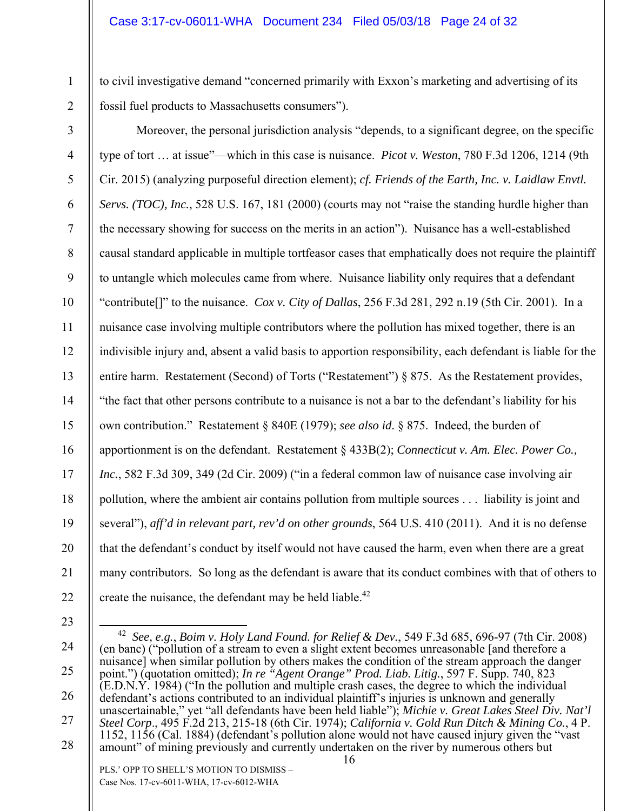1

2

23

to civil investigative demand "concerned primarily with Exxon's marketing and advertising of its fossil fuel products to Massachusetts consumers").

- 3 4 5 6 7 8 9 10 11 12 13 14 15 16 17 18 19 20 21 22 Moreover, the personal jurisdiction analysis "depends, to a significant degree, on the specific type of tort … at issue"—which in this case is nuisance. *Picot v. Weston*, 780 F.3d 1206, 1214 (9th Cir. 2015) (analyzing purposeful direction element); *cf. Friends of the Earth, Inc. v. Laidlaw Envtl. Servs. (TOC), Inc.*, 528 U.S. 167, 181 (2000) (courts may not "raise the standing hurdle higher than the necessary showing for success on the merits in an action"). Nuisance has a well-established causal standard applicable in multiple tortfeasor cases that emphatically does not require the plaintiff to untangle which molecules came from where. Nuisance liability only requires that a defendant "contribute[]" to the nuisance. *Cox v. City of Dallas*, 256 F.3d 281, 292 n.19 (5th Cir. 2001). In a nuisance case involving multiple contributors where the pollution has mixed together, there is an indivisible injury and, absent a valid basis to apportion responsibility, each defendant is liable for the entire harm. Restatement (Second) of Torts ("Restatement") § 875. As the Restatement provides, "the fact that other persons contribute to a nuisance is not a bar to the defendant's liability for his own contribution." Restatement § 840E (1979); *see also id*. § 875. Indeed, the burden of apportionment is on the defendant. Restatement § 433B(2); *Connecticut v. Am. Elec. Power Co., Inc.*, 582 F.3d 309, 349 (2d Cir. 2009) ("in a federal common law of nuisance case involving air pollution, where the ambient air contains pollution from multiple sources . . . liability is joint and several"), *aff'd in relevant part, rev'd on other grounds*, 564 U.S. 410 (2011). And it is no defense that the defendant's conduct by itself would not have caused the harm, even when there are a great many contributors. So long as the defendant is aware that its conduct combines with that of others to create the nuisance, the defendant may be held liable.<sup>42</sup>
- 16 24 25 26 27 28 42 *See, e.g.*, *Boim v. Holy Land Found. for Relief & Dev.*, 549 F.3d 685, 696-97 (7th Cir. 2008) (en banc) ("pollution of a stream to even a slight extent becomes unreasonable [and therefore a nuisance] when similar pollution by others makes the condition of the stream approach the danger point.") (quotation omitted); *In re "Agent Orange" Prod. Liab. Litig.*, 597 F. Supp. 740, 823 (E.D.N.Y. 1984) ("In the pollution and multiple crash cases, the degree to which the individual defendant's actions contributed to an individual plaintiff's injuries is unknown and generally unascertainable," yet "all defendants have been held liable"); *Michie v. Great Lakes Steel Div. Nat'l Steel Corp*., 495 F.2d 213, 215-18 (6th Cir. 1974); *California v. Gold Run Ditch & Mining Co.*, 4 P. 1152, 1156 (Cal. 1884) (defendant's pollution alone would not have caused injury given the "vast amount" of mining previously and currently undertaken on the river by numerous others but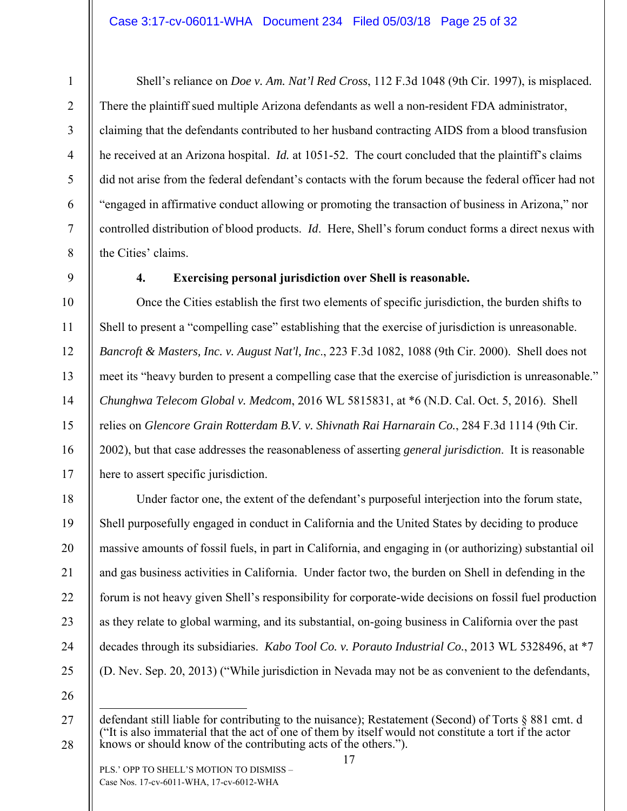Shell's reliance on *Doe v. Am. Nat'l Red Cross*, 112 F.3d 1048 (9th Cir. 1997), is misplaced. There the plaintiff sued multiple Arizona defendants as well a non-resident FDA administrator, claiming that the defendants contributed to her husband contracting AIDS from a blood transfusion he received at an Arizona hospital. *Id.* at 1051-52. The court concluded that the plaintiff's claims did not arise from the federal defendant's contacts with the forum because the federal officer had not "engaged in affirmative conduct allowing or promoting the transaction of business in Arizona," nor controlled distribution of blood products. *Id*. Here, Shell's forum conduct forms a direct nexus with the Cities' claims.

1

2

3

4

5

6

7

8

9

10

11

12

13

14

15

16

17

18

19

20

21

22

23

24

25

# **4. Exercising personal jurisdiction over Shell is reasonable.**

Once the Cities establish the first two elements of specific jurisdiction, the burden shifts to Shell to present a "compelling case" establishing that the exercise of jurisdiction is unreasonable. *Bancroft & Masters, Inc. v. August Nat'l, Inc*., 223 F.3d 1082, 1088 (9th Cir. 2000). Shell does not meet its "heavy burden to present a compelling case that the exercise of jurisdiction is unreasonable." *Chunghwa Telecom Global v. Medcom*, 2016 WL 5815831, at \*6 (N.D. Cal. Oct. 5, 2016). Shell relies on *Glencore Grain Rotterdam B.V. v. Shivnath Rai Harnarain Co.*, 284 F.3d 1114 (9th Cir. 2002), but that case addresses the reasonableness of asserting *general jurisdiction*. It is reasonable here to assert specific jurisdiction.

Under factor one, the extent of the defendant's purposeful interjection into the forum state, Shell purposefully engaged in conduct in California and the United States by deciding to produce massive amounts of fossil fuels, in part in California, and engaging in (or authorizing) substantial oil and gas business activities in California. Under factor two, the burden on Shell in defending in the forum is not heavy given Shell's responsibility for corporate-wide decisions on fossil fuel production as they relate to global warming, and its substantial, on-going business in California over the past decades through its subsidiaries. *Kabo Tool Co. v. Porauto Industrial Co.*, 2013 WL 5328496, at \*7 (D. Nev. Sep. 20, 2013) ("While jurisdiction in Nevada may not be as convenient to the defendants,

26

<sup>27</sup>  28  $\overline{a}$ defendant still liable for contributing to the nuisance); Restatement (Second) of Torts § 881 cmt. d ("It is also immaterial that the act of one of them by itself would not constitute a tort if the actor knows or should know of the contributing acts of the others.").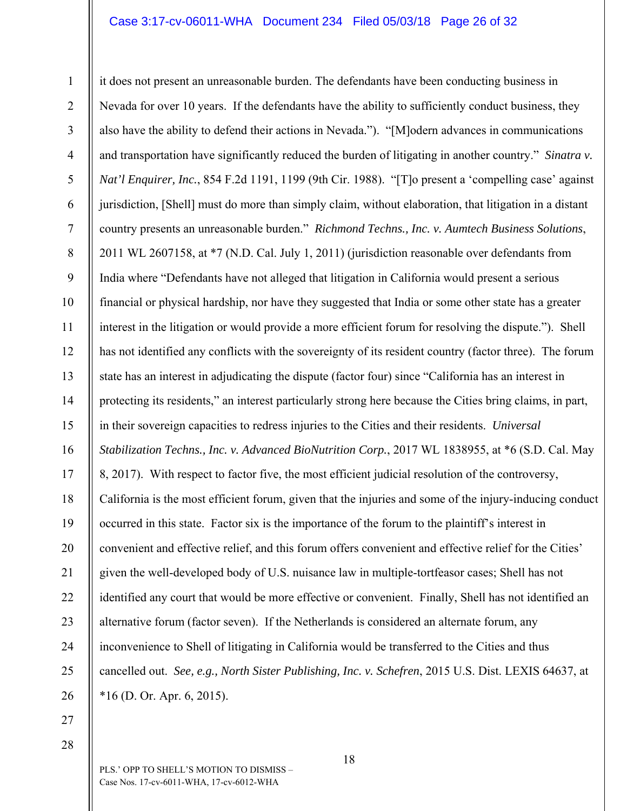### Case 3:17-cv-06011-WHA Document 234 Filed 05/03/18 Page 26 of 32

1 2 3 4 5 6 7 8 9 10 11 12 13 14 15 16 17 18 19 20 21 22 23 24 25 26 it does not present an unreasonable burden. The defendants have been conducting business in Nevada for over 10 years. If the defendants have the ability to sufficiently conduct business, they also have the ability to defend their actions in Nevada."). "[M]odern advances in communications and transportation have significantly reduced the burden of litigating in another country." *Sinatra v. Nat'l Enquirer, Inc.*, 854 F.2d 1191, 1199 (9th Cir. 1988). "[T]o present a 'compelling case' against jurisdiction, [Shell] must do more than simply claim, without elaboration, that litigation in a distant country presents an unreasonable burden." *Richmond Techns., Inc. v. Aumtech Business Solutions*, 2011 WL 2607158, at \*7 (N.D. Cal. July 1, 2011) (jurisdiction reasonable over defendants from India where "Defendants have not alleged that litigation in California would present a serious financial or physical hardship, nor have they suggested that India or some other state has a greater interest in the litigation or would provide a more efficient forum for resolving the dispute."). Shell has not identified any conflicts with the sovereignty of its resident country (factor three). The forum state has an interest in adjudicating the dispute (factor four) since "California has an interest in protecting its residents," an interest particularly strong here because the Cities bring claims, in part, in their sovereign capacities to redress injuries to the Cities and their residents. *Universal Stabilization Techns., Inc. v. Advanced BioNutrition Corp.*, 2017 WL 1838955, at \*6 (S.D. Cal. May 8, 2017). With respect to factor five, the most efficient judicial resolution of the controversy, California is the most efficient forum, given that the injuries and some of the injury-inducing conduct occurred in this state. Factor six is the importance of the forum to the plaintiff's interest in convenient and effective relief, and this forum offers convenient and effective relief for the Cities' given the well-developed body of U.S. nuisance law in multiple-tortfeasor cases; Shell has not identified any court that would be more effective or convenient. Finally, Shell has not identified an alternative forum (factor seven). If the Netherlands is considered an alternate forum, any inconvenience to Shell of litigating in California would be transferred to the Cities and thus cancelled out. *See, e.g., North Sister Publishing, Inc. v. Schefren*, 2015 U.S. Dist. LEXIS 64637, at  $*16$  (D. Or. Apr. 6, 2015).

27 28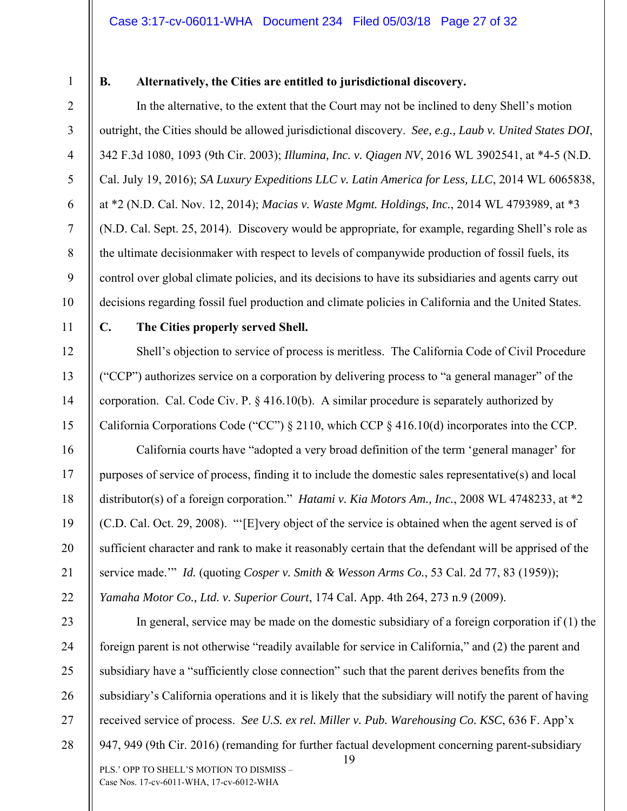#### Case 3:17-cv-06011-WHA Document 234 Filed 05/03/18 Page 27 of 32

1 2

3

4

5

6

7

8

9

10

12

13

14

15

16

17

18

19

20

21

22

## **B. Alternatively, the Cities are entitled to jurisdictional discovery.**

In the alternative, to the extent that the Court may not be inclined to deny Shell's motion outright, the Cities should be allowed jurisdictional discovery. *See, e.g., Laub v. United States DOI*, 342 F.3d 1080, 1093 (9th Cir. 2003); *Illumina, Inc. v. Qiagen NV*, 2016 WL 3902541, at \*4-5 (N.D. Cal. July 19, 2016); *SA Luxury Expeditions LLC v. Latin America for Less, LLC*, 2014 WL 6065838, at \*2 (N.D. Cal. Nov. 12, 2014); *Macias v. Waste Mgmt. Holdings, Inc.*, 2014 WL 4793989, at \*3 (N.D. Cal. Sept. 25, 2014). Discovery would be appropriate, for example, regarding Shell's role as the ultimate decisionmaker with respect to levels of companywide production of fossil fuels, its control over global climate policies, and its decisions to have its subsidiaries and agents carry out decisions regarding fossil fuel production and climate policies in California and the United States.

11

## **C. The Cities properly served Shell.**

Shell's objection to service of process is meritless. The California Code of Civil Procedure ("CCP") authorizes service on a corporation by delivering process to "a general manager" of the corporation. Cal. Code Civ. P. § 416.10(b). A similar procedure is separately authorized by California Corporations Code ("CC") § 2110, which CCP § 416.10(d) incorporates into the CCP.

California courts have "adopted a very broad definition of the term 'general manager' for purposes of service of process, finding it to include the domestic sales representative(s) and local distributor(s) of a foreign corporation." *Hatami v. Kia Motors Am., Inc.*, 2008 WL 4748233, at \*2 (C.D. Cal. Oct. 29, 2008). "'[E]very object of the service is obtained when the agent served is of sufficient character and rank to make it reasonably certain that the defendant will be apprised of the service made.'" *Id.* (quoting *Cosper v. Smith & Wesson Arms Co.*, 53 Cal. 2d 77, 83 (1959)); *Yamaha Motor Co., Ltd. v. Superior Court*, 174 Cal. App. 4th 264, 273 n.9 (2009).

19 PLS.' OPP TO SHELL'S MOTION TO DISMISS – 23 24 25 26 27 28 In general, service may be made on the domestic subsidiary of a foreign corporation if  $(1)$  the foreign parent is not otherwise "readily available for service in California," and (2) the parent and subsidiary have a "sufficiently close connection" such that the parent derives benefits from the subsidiary's California operations and it is likely that the subsidiary will notify the parent of having received service of process. *See U.S. ex rel. Miller v. Pub. Warehousing Co. KSC*, 636 F. App'x 947, 949 (9th Cir. 2016) (remanding for further factual development concerning parent-subsidiary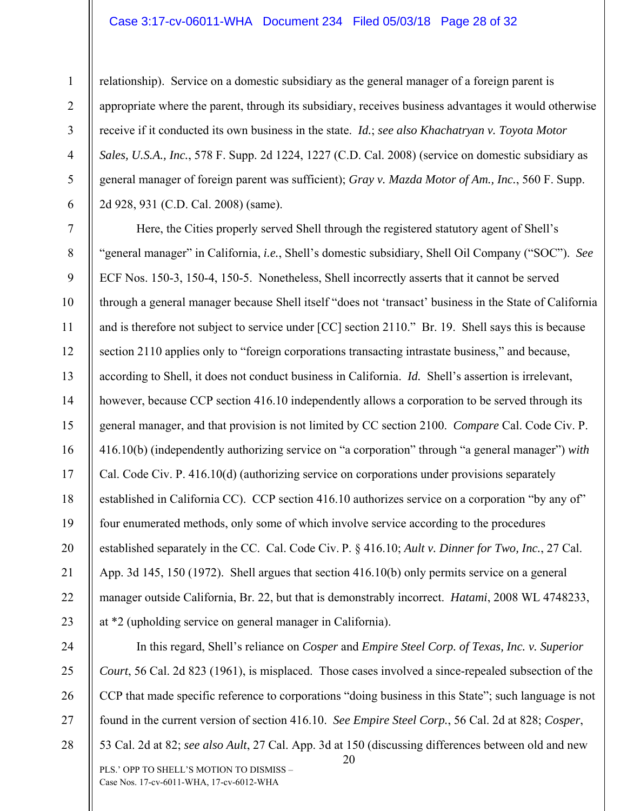#### Case 3:17-cv-06011-WHA Document 234 Filed 05/03/18 Page 28 of 32

1

2

3

4

5

6

11

21

relationship). Service on a domestic subsidiary as the general manager of a foreign parent is appropriate where the parent, through its subsidiary, receives business advantages it would otherwise receive if it conducted its own business in the state. *Id.*; *see also Khachatryan v. Toyota Motor Sales, U.S.A., Inc.*, 578 F. Supp. 2d 1224, 1227 (C.D. Cal. 2008) (service on domestic subsidiary as general manager of foreign parent was sufficient); *Gray v. Mazda Motor of Am., Inc.*, 560 F. Supp. 2d 928, 931 (C.D. Cal. 2008) (same).

7 8 9 10 12 13 14 15 16 17 18 19 20 22 23 Here, the Cities properly served Shell through the registered statutory agent of Shell's "general manager" in California, *i.e.*, Shell's domestic subsidiary, Shell Oil Company ("SOC"). *See*  ECF Nos. 150-3, 150-4, 150-5. Nonetheless, Shell incorrectly asserts that it cannot be served through a general manager because Shell itself "does not 'transact' business in the State of California and is therefore not subject to service under [CC] section 2110." Br. 19. Shell says this is because section 2110 applies only to "foreign corporations transacting intrastate business," and because, according to Shell, it does not conduct business in California. *Id.* Shell's assertion is irrelevant, however, because CCP section 416.10 independently allows a corporation to be served through its general manager, and that provision is not limited by CC section 2100. *Compare* Cal. Code Civ. P. 416.10(b) (independently authorizing service on "a corporation" through "a general manager") *with*  Cal. Code Civ. P. 416.10(d) (authorizing service on corporations under provisions separately established in California CC). CCP section 416.10 authorizes service on a corporation "by any of" four enumerated methods, only some of which involve service according to the procedures established separately in the CC. Cal. Code Civ. P. § 416.10; *Ault v. Dinner for Two, Inc.*, 27 Cal. App. 3d 145, 150 (1972). Shell argues that section 416.10(b) only permits service on a general manager outside California, Br. 22, but that is demonstrably incorrect. *Hatami*, 2008 WL 4748233, at \*2 (upholding service on general manager in California).

20 PLS.' OPP TO SHELL'S MOTION TO DISMISS – Case Nos. 17-cv-6011-WHA, 17-cv-6012-WHA 24 25 26 27 28 In this regard, Shell's reliance on *Cosper* and *Empire Steel Corp. of Texas, Inc. v. Superior Court*, 56 Cal. 2d 823 (1961), is misplaced. Those cases involved a since-repealed subsection of the CCP that made specific reference to corporations "doing business in this State"; such language is not found in the current version of section 416.10. *See Empire Steel Corp.*, 56 Cal. 2d at 828; *Cosper*, 53 Cal. 2d at 82; *see also Ault*, 27 Cal. App. 3d at 150 (discussing differences between old and new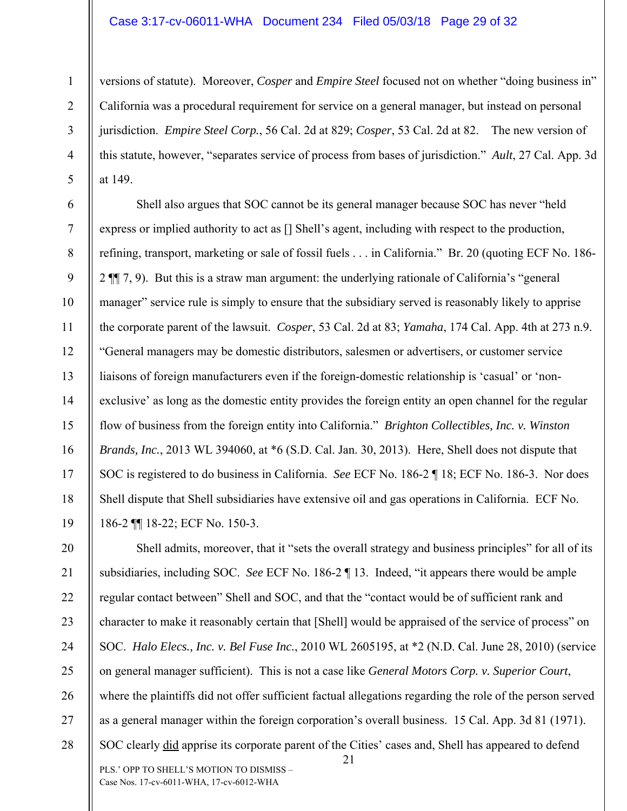#### Case 3:17-cv-06011-WHA Document 234 Filed 05/03/18 Page 29 of 32

1

2

3

4

5

6

7

8

9

10

11

12

13

14

15

16

17

18

19

versions of statute). Moreover, *Cosper* and *Empire Steel* focused not on whether "doing business in" California was a procedural requirement for service on a general manager, but instead on personal jurisdiction. *Empire Steel Corp.*, 56 Cal. 2d at 829; *Cosper*, 53 Cal. 2d at 82. The new version of this statute, however, "separates service of process from bases of jurisdiction." *Ault*, 27 Cal. App. 3d at 149.

Shell also argues that SOC cannot be its general manager because SOC has never "held express or implied authority to act as [] Shell's agent, including with respect to the production, refining, transport, marketing or sale of fossil fuels . . . in California." Br. 20 (quoting ECF No. 186- 2 ¶¶ 7, 9). But this is a straw man argument: the underlying rationale of California's "general manager" service rule is simply to ensure that the subsidiary served is reasonably likely to apprise the corporate parent of the lawsuit. *Cosper*, 53 Cal. 2d at 83; *Yamaha*, 174 Cal. App. 4th at 273 n.9. "General managers may be domestic distributors, salesmen or advertisers, or customer service liaisons of foreign manufacturers even if the foreign-domestic relationship is 'casual' or 'nonexclusive' as long as the domestic entity provides the foreign entity an open channel for the regular flow of business from the foreign entity into California." *Brighton Collectibles, Inc. v. Winston Brands, Inc.*, 2013 WL 394060, at \*6 (S.D. Cal. Jan. 30, 2013). Here, Shell does not dispute that SOC is registered to do business in California. *See* ECF No. 186-2 ¶ 18; ECF No. 186-3. Nor does Shell dispute that Shell subsidiaries have extensive oil and gas operations in California. ECF No. 186-2 ¶¶ 18-22; ECF No. 150-3.

21 PLS.' OPP TO SHELL'S MOTION TO DISMISS – Case Nos. 17-cv-6011-WHA, 17-cv-6012-WHA 20 21 22 23 24 25 26 27 28 Shell admits, moreover, that it "sets the overall strategy and business principles" for all of its subsidiaries, including SOC. *See* ECF No. 186-2 ¶ 13. Indeed, "it appears there would be ample regular contact between" Shell and SOC, and that the "contact would be of sufficient rank and character to make it reasonably certain that [Shell] would be appraised of the service of process" on SOC. *Halo Elecs., Inc. v. Bel Fuse Inc.*, 2010 WL 2605195, at \*2 (N.D. Cal. June 28, 2010) (service on general manager sufficient). This is not a case like *General Motors Corp. v. Superior Court*, where the plaintiffs did not offer sufficient factual allegations regarding the role of the person served as a general manager within the foreign corporation's overall business. 15 Cal. App. 3d 81 (1971). SOC clearly did apprise its corporate parent of the Cities' cases and, Shell has appeared to defend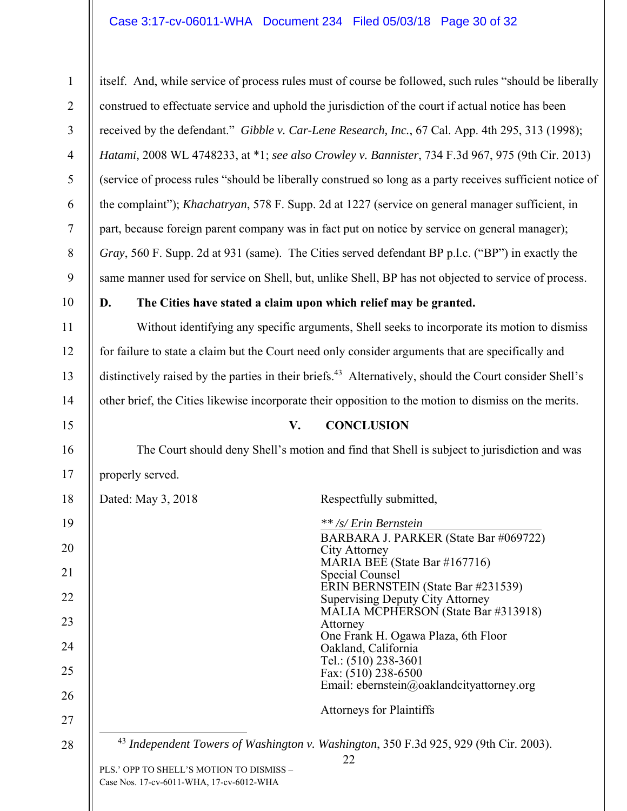# Case 3:17-cv-06011-WHA Document 234 Filed 05/03/18 Page 30 of 32

1 2 3 4 5 6 7 8 9 10 11 itself. And, while service of process rules must of course be followed, such rules "should be liberally construed to effectuate service and uphold the jurisdiction of the court if actual notice has been received by the defendant." *Gibble v. Car-Lene Research, Inc.*, 67 Cal. App. 4th 295, 313 (1998); *Hatami,* 2008 WL 4748233, at \*1; *see also Crowley v. Bannister*, 734 F.3d 967, 975 (9th Cir. 2013) (service of process rules "should be liberally construed so long as a party receives sufficient notice of the complaint"); *Khachatryan*, 578 F. Supp. 2d at 1227 (service on general manager sufficient, in part, because foreign parent company was in fact put on notice by service on general manager); *Gray*, 560 F. Supp. 2d at 931 (same). The Cities served defendant BP p.l.c. ("BP") in exactly the same manner used for service on Shell, but, unlike Shell, BP has not objected to service of process. **D. The Cities have stated a claim upon which relief may be granted.**  Without identifying any specific arguments, Shell seeks to incorporate its motion to dismiss

for failure to state a claim but the Court need only consider arguments that are specifically and distinctively raised by the parties in their briefs.<sup>43</sup> Alternatively, should the Court consider Shell's other brief, the Cities likewise incorporate their opposition to the motion to dismiss on the merits.

## **V. CONCLUSION**

The Court should deny Shell's motion and find that Shell is subject to jurisdiction and was properly served.

| 18 | Dated: May 3, 2018                       | Respectfully submitted,                                                                                |
|----|------------------------------------------|--------------------------------------------------------------------------------------------------------|
| 19 |                                          | ** /s/ Erin Bernstein                                                                                  |
| 20 |                                          | BARBARA J. PARKER (State Bar #069722)<br>City Attorney                                                 |
| 21 |                                          | MARIA BEE (State Bar #167716)<br><b>Special Counsel</b>                                                |
| 22 |                                          | ERIN BERNSTEIN (State Bar #231539)<br><b>Supervising Deputy City Attorney</b>                          |
| 23 |                                          | MALIA MCPHERSON (State Bar #313918)<br>Attorney                                                        |
| 24 |                                          | One Frank H. Ogawa Plaza, 6th Floor<br>Oakland, California                                             |
| 25 |                                          | Tel.: (510) 238-3601<br>Fax: (510) 238-6500                                                            |
| 26 |                                          | Email: ebernstein@oaklandcityattorney.org                                                              |
| 27 |                                          | <b>Attorneys for Plaintiffs</b>                                                                        |
| 28 | PLS.' OPP TO SHELL'S MOTION TO DISMISS - | <sup>43</sup> Independent Towers of Washington v. Washington, 350 F.3d 925, 929 (9th Cir. 2003).<br>22 |

Case Nos. 17-cv-6011-WHA, 17-cv-6012-WHA

12

13

14

15

16

17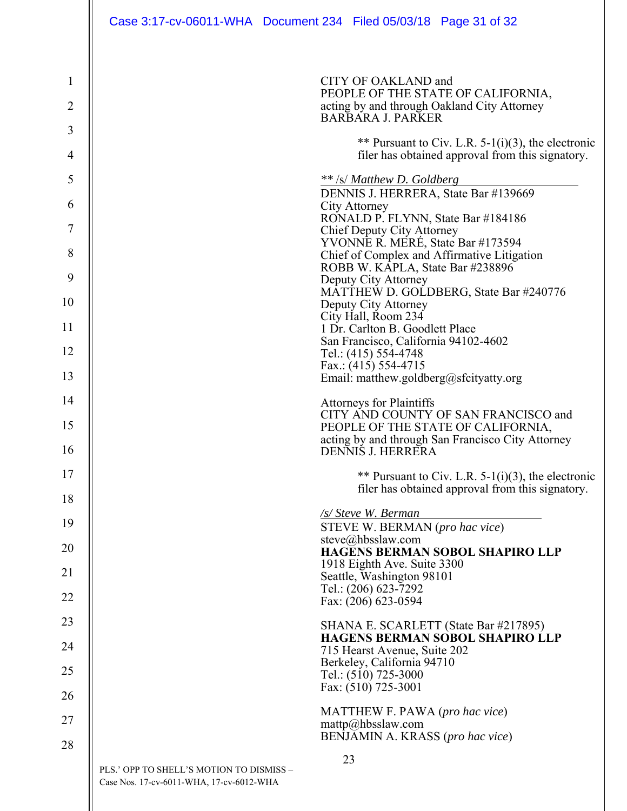| $\mathbf{1}$   | CITY OF OAKLAND and                                                                                       |  |  |  |  |
|----------------|-----------------------------------------------------------------------------------------------------------|--|--|--|--|
| $\overline{2}$ | PEOPLE OF THE STATE OF CALIFORNIA,<br>acting by and through Oakland City Attorney                         |  |  |  |  |
| 3              | <b>BARBARA J. PARKER</b>                                                                                  |  |  |  |  |
| $\overline{4}$ | ** Pursuant to Civ. L.R. 5-1(i)(3), the electronic<br>filer has obtained approval from this signatory.    |  |  |  |  |
| 5              | ** /s/ Matthew D. Goldberg                                                                                |  |  |  |  |
| 6              | DENNIS J. HERRERA, State Bar #139669<br><b>City Attorney</b>                                              |  |  |  |  |
| 7              | RONALD P. FLYNN, State Bar #184186<br>Chief Deputy City Attorney                                          |  |  |  |  |
| 8              | YVONNE R. MERÉ, State Bar #173594<br>Chief of Complex and Affirmative Litigation                          |  |  |  |  |
| 9              | ROBB W. KAPLA, State Bar #238896<br>Deputy City Attorney                                                  |  |  |  |  |
| 10             | MATTHEW D. GOLDBERG, State Bar #240776<br>Deputy City Attorney                                            |  |  |  |  |
| 11             | City Hall, Room 234                                                                                       |  |  |  |  |
| 12             | 1 Dr. Carlton B. Goodlett Place<br>San Francisco, California 94102-4602                                   |  |  |  |  |
|                | Tel.: (415) 554-4748<br>Fax.: (415) 554-4715                                                              |  |  |  |  |
| 13             | Email: matthew.goldberg@sfcityatty.org                                                                    |  |  |  |  |
| 14             | <b>Attorneys for Plaintiffs</b><br>CITY AND COUNTY OF SAN FRANCISCO and                                   |  |  |  |  |
| 15             | PEOPLE OF THE STATE OF CALIFORNIA,<br>acting by and through San Francisco City Attorney                   |  |  |  |  |
| 16             | <b>DENNIS J. HERRERA</b>                                                                                  |  |  |  |  |
| 17             | ** Pursuant to Civ. L.R. $5-1(i)(3)$ , the electronic<br>filer has obtained approval from this signatory. |  |  |  |  |
| 18             | /s/ Steve W. Berman                                                                                       |  |  |  |  |
| 19             | STEVE W. BERMAN (pro hac vice)<br>steve@hbsslaw.com                                                       |  |  |  |  |
| 20             | <b>HAGENS BERMAN SOBOL SHAPIRO LLP</b><br>1918 Eighth Ave. Suite 3300                                     |  |  |  |  |
| 21             | Seattle, Washington 98101<br>Tel.: (206) 623-7292                                                         |  |  |  |  |
| 22             | Fax: (206) 623-0594                                                                                       |  |  |  |  |
| 23             | SHANA E. SCARLETT (State Bar #217895)                                                                     |  |  |  |  |
| 24             | <b>HAGENS BERMAN SOBOL SHAPIRO LLP</b><br>715 Hearst Avenue, Suite 202                                    |  |  |  |  |
| 25             | Berkeley, California 94710<br>Tel.: (510) 725-3000<br>Fax: (510) 725-3001                                 |  |  |  |  |
| 26             | MATTHEW F. PAWA (pro hac vice)                                                                            |  |  |  |  |
| 27<br>28       | $\text{mattp}(a)$ hbsslaw.com<br>BENJAMIN A. KRASS (pro hac vice)                                         |  |  |  |  |
|                | 23                                                                                                        |  |  |  |  |
|                | PLS.' OPP TO SHELL'S MOTION TO DISMISS -<br>Case Nos. 17-cv-6011-WHA, 17-cv-6012-WHA                      |  |  |  |  |
|                |                                                                                                           |  |  |  |  |